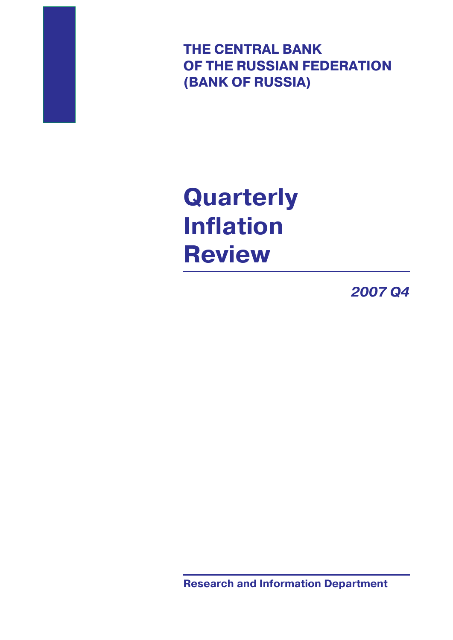**THE CENTRAL BANK OF THE RUSSIAN FEDERATION (BANK OF RUSSIA)**

**Quarterly Inflation Review**

*2007 Q4*

**Research and Information Department**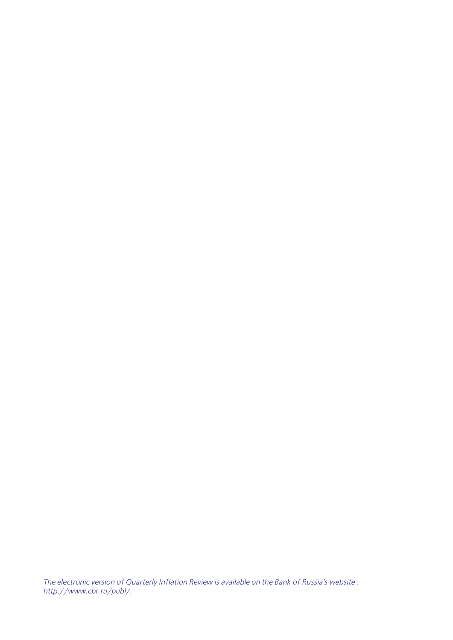The electronic version of Quarterly Inflation Review is available on the Bank of Russia's website : http://www.cbr.ru/publ/.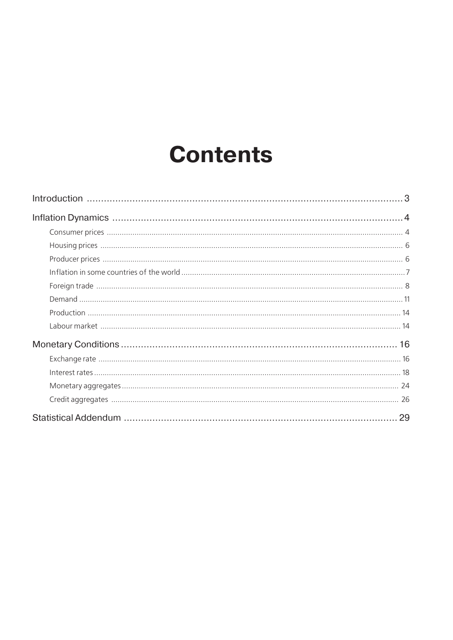# **Contents**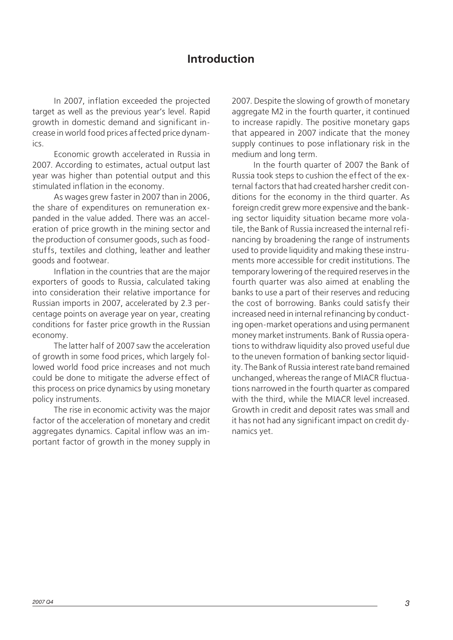# **Introduction**

<span id="page-4-0"></span>In 2007, inflation exceeded the projected target as well as the previous year's level. Rapid growth in domestic demand and significant increase in world food prices affected price dynam ics.

Economic growth accelerated in Russia in 2007. According to estimates, actual output last year was higher than potential output and this stimulated inflation in the economy.

As wages grew faster in 2007 than in 2006, the share of expenditures on remuneration ex panded in the value added. There was an accel eration of price growth in the mining sector and the production of consumer goods, such as food stuffs, textiles and clothing, leather and leather goods and footwear.

Inflation in the countries that are the major exporters of goods to Russia, calculated taking into consideration their relative importance for Russian imports in 2007, accelerated by 2.3 per centage points on average year on year, creating conditions for faster price growth in the Russian economy.

The latter half of 2007 saw the acceleration of growth in some food prices, which largely fol lowed world food price increases and not much could be done to mitigate the adverse effect of this process on price dynamics by using monetary policy instruments.

The rise in economic activity was the major factor of the acceleration of monetary and credit aggregates dynamics. Capital inflow was an im portant factor of growth in the money supply in 2007. Despite the slowing of growth of monetary aggregate M2 in the fourth quarter, it continued to increase rapidly. The positive monetary gaps that appeared in 2007 indicate that the money supply continues to pose inflationary risk in the medium and long term.

In the fourth quarter of 2007 the Bank of Russia took steps to cushion the effect of the external factors that had created harsher credit conditions for the economy in the third quarter. As foreign credit grew more expensive and the bank ing sector liquidity situation became more vola tile, the Bank of Russia increased the internal refi nancing by broadening the range of instruments used to provide liquidity and making these instru ments more accessible for credit institutions. The temporary lowering of the required reserves in the fourth quarter was also aimed at enabling the banks to use a part of their reserves and reducing the cost of borrowing. Banks could satisfy their increased need in internal refinancing by conduct ing open-market operations and using permanent money market instruments. Bank of Russia opera tions to withdraw liquidity also proved useful due to the uneven formation of banking sector liquid ity. The Bank of Russia interest rate band remained unchanged, whereas the range of MIACR fluctua tions narrowed in the fourth quarter as compared with the third, while the MIACR level increased. Growth in credit and deposit rates was small and it has not had any significant impact on credit dy namics yet.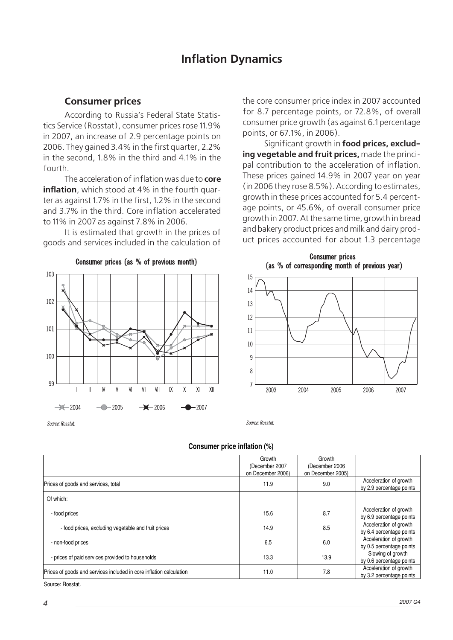# **Inflation Dynamics**

## <span id="page-5-0"></span>**Consumer prices**

According to Russia's Federal State Statis tics Service (Rosstat), consumer prices rose 11.9% in 2007, an increase of 2.9 percentage points on 2006. They gained 3.4% in the first quarter, 2.2% in the second, 1.8% in the third and 4.1% in the fourth.

The acceleration of inflation was due to **core inflation**, which stood at 4% in the fourth quar ter as against 1.7% in the first, 1.2% in the second and 3.7% in the third. Core inflation accelerated to 11% in 2007 as against 7.8% in 2006.

It is estimated that growth in the prices of goods and services included in the calculation of

Consumer prices (as % of previous month)

103 102 × 101 100 99  $\overline{N}$  $\mathbf{I}$  $\mathbf{I}$  $\mathsf{V}$  $V$  $V$  $VIII$  $\mathsf{X}$  $\pmb{\chi}$ XI  $X$  $\rightarrow$  2004  $-$  2005  $\rightarrow$  2006  $-2007$ 

Source: Rosstat

the core consumer price index in 2007 accounted for 8.7 percentage points, or 72.8%, of overall consumer price growth (as against 6.1 percentage points, or 67.1%, in 2006).

Significant growth in **food prices, exclud ing vegetable and fruit prices,** made the princi pal contribution to the acceleration of inflation. These prices gained 14.9% in 2007 year on year (in 2006 they rose 8.5%). According to estimates, growth in these prices accounted for 5.4 percent age points, or 45.6%, of overall consumer price growth in 2007. At the same time, growth in bread and bakery product prices and milk and dairy prod uct prices accounted for about 1.3 percentage



Source: Rosstat.

**Consumer price inflation (%)**

|                                                                     | Growth<br>(December 2007<br>on December 2006) | Growth<br>(December 2006)<br>on December 2005) |                                                    |
|---------------------------------------------------------------------|-----------------------------------------------|------------------------------------------------|----------------------------------------------------|
| Prices of goods and services, total                                 | 11.9                                          | 9.0                                            | Acceleration of growth<br>by 2.9 percentage points |
| Of which:                                                           |                                               |                                                |                                                    |
| - food prices                                                       | 15.6                                          | 8.7                                            | Acceleration of growth<br>by 6.9 percentage points |
| - food prices, excluding vegetable and fruit prices                 | 14.9                                          | 8.5                                            | Acceleration of growth<br>by 6.4 percentage points |
| - non-food prices                                                   | 6.5                                           | 6.0                                            | Acceleration of growth<br>by 0.5 percentage points |
| - prices of paid services provided to households                    | 13.3                                          | 13.9                                           | Slowing of growth<br>by 0.6 percentage points      |
| Prices of goods and services included in core inflation calculation | 11.0                                          | 7.8                                            | Acceleration of growth<br>by 3.2 percentage points |

Source: Rosstat.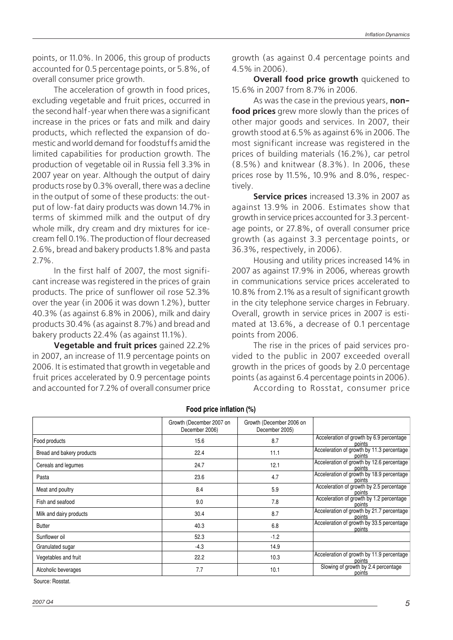points, or 11.0%. In 2006, this group of products accounted for 0.5 percentage points, or 5.8%, of overall consumer price growth.

The acceleration of growth in food prices, excluding vegetable and fruit prices, occurred in the second half-year when there was a significant increase in the prices or fats and milk and dairy products, which reflected the expansion of domestic and world demand for foodstuffs amid the limited capabilities for production growth. The production of vegetable oil in Russia fell 3.3% in 2007 year on year. Although the output of dairy products rose by 0.3% overall, there was a decline in the output of some of these products: the output of low-fat dairy products was down 14.7% in terms of skimmed milk and the output of dry whole milk, dry cream and dry mixtures for ice cream fell 0.1%. The production of flour decreased 2.6%, bread and bakery products 1.8% and pasta 2.7%.

In the first half of 2007, the most signifi cant increase was registered in the prices of grain products. The price of sunflower oil rose 52.3% over the year (in 2006 it was down 1.2%), butter 40.3% (as against 6.8% in 2006), milk and dairy products 30.4% (as against 8.7%) and bread and bakery products 22.4% (as against 11.1%).

**Vegetable and fruit prices** gained 22.2% in 2007, an increase of 11.9 percentage points on 2006. It is estimated that growth in vegetable and fruit prices accelerated by 0.9 percentage points and accounted for 7.2% of overall consumer price growth (as against 0.4 percentage points and 4.5% in 2006).

**Overall food price growth** quickened to 15.6% in 2007 from 8.7% in 2006.

As was the case in the previous years, **non food prices** grew more slowly than the prices of other major goods and services. In 2007, their growth stood at 6.5% as against 6% in 2006. The most significant increase was registered in the prices of building materials (16.2%), car petrol (8.5%) and knitwear (8.3%). In 2006, these prices rose by 11.5%, 10.9% and 8.0%, respec tively.

**Service prices** increased 13.3% in 2007 as against 13.9% in 2006. Estimates show that growth in service prices accounted for 3.3 percent age points, or 27.8%, of overall consumer price growth (as against 3.3 percentage points, or 36.3%, respectively, in 2006).

Housing and utility prices increased 14% in 2007 as against 17.9% in 2006, whereas growth in communications service prices accelerated to 10.8% from 2.1% as a result of significant growth in the city telephone service charges in February. Overall, growth in service prices in 2007 is esti mated at 13.6%, a decrease of 0.1 percentage points from 2006.

The rise in the prices of paid services pro vided to the public in 2007 exceeded overall growth in the prices of goods by 2.0 percentage points (as against 6.4 percentage points in 2006).

According to Rosstat, consumer price

|                           | Growth (December 2007 on<br>December 2006) | Growth (December 2006 on<br>December 2005) |                                                     |
|---------------------------|--------------------------------------------|--------------------------------------------|-----------------------------------------------------|
| Food products             | 15.6                                       | 8.7                                        | Acceleration of growth by 6.9 percentage<br>points  |
| Bread and bakery products | 22.4                                       | 11.1                                       | Acceleration of growth by 11.3 percentage<br>noints |
| Cereals and legumes       | 24.7                                       | 12.1                                       | Acceleration of growth by 12.6 percentage<br>points |
| Pasta                     | 23.6                                       | 4.7                                        | Acceleration of growth by 18.9 percentage<br>points |
| Meat and poultry          | 8.4                                        | 5.9                                        | Acceleration of growth by 2.5 percentage<br>points  |
| Fish and seafood          | 9.0                                        | 7.8                                        | Acceleration of growth by 1.2 percentage<br>points  |
| Milk and dairy products   | 30.4                                       | 8.7                                        | Acceleration of growth by 21.7 percentage<br>points |
| <b>Butter</b>             | 40.3                                       | 6.8                                        | Acceleration of growth by 33.5 percentage<br>points |
| Sunflower oil             | 52.3                                       | $-1.2$                                     |                                                     |
| Granulated sugar          | $-4.3$                                     | 14.9                                       |                                                     |
| Vegetables and fruit      | 22.2                                       | 10.3                                       | Acceleration of growth by 11.9 percentage<br>points |
| Alcoholic beverages       | 7.7                                        | 10.1                                       | Slowing of growth by 2.4 percentage<br>points       |

**Food price inflation (%)**

Source: Rosstat.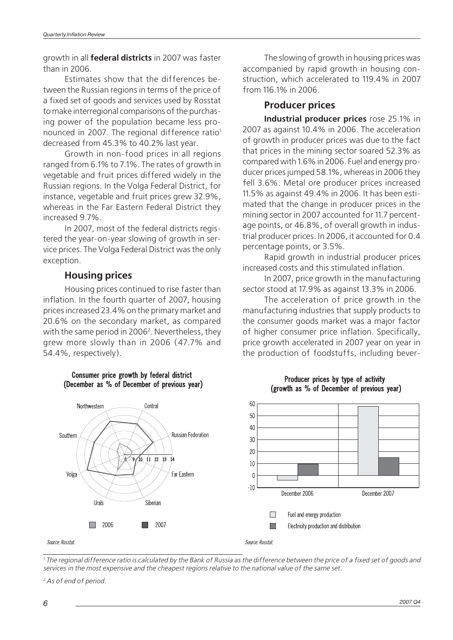<span id="page-7-0"></span>growth in all **federal districts** in 2007 was faster than in 2006.

Estimates show that the differences between the Russian regions in terms of the price of a fixed set of goods and services used by Rosstat to make interregional comparisons of the purchas ing power of the population became less pro nounced in 2007. The regional difference ratio<sup>1</sup> decreased from 45.3% to 40.2% last year.

Growth in non-food prices in all regions ranged from 6.1% to 7.1%. The rates of growth in vegetable and fruit prices differed widely in the Russian regions. In the Volga Federal District, for instance, vegetable and fruit prices grew 32.9%, whereas in the Far Eastern Federal District they increased 9.7%.

In 2007, most of the federal districts regis tered the year-on-year slowing of growth in ser vice prices. The Volga Federal District was the only exception.

### **Housing prices**

Housing prices continued to rise faster than inflation. In the fourth quarter of 2007, housing prices increased 23.4% on the primary market and 20.6% on the secondary market, as compared with the same period in 2006<sup>2</sup>. Nevertheless, they grew more slowly than in 2006 (47.7% and 54.4%, respectively).

> Consumer price growth by federal district (December as % of December of previous year)



The slowing of growth in housing prices was accompanied by rapid growth in housing con struction, which accelerated to 119.4% in 2007 from 116.1% in 2006.

### **Producer prices**

**Industrial producer prices** rose 25.1% in 2007 as against 10.4% in 2006. The acceleration of growth in producer prices was due to the fact that prices in the mining sector soared 52.3% as compared with 1.6% in 2006. Fuel and energy pro ducer prices jumped 58.1%, whereas in 2006 they fell 3.6%. Metal ore producer prices increased 11.5% as against 49.4% in 2006. It has been esti mated that the change in producer prices in the mining sector in 2007 accounted for 11.7 percent age points, or 46.8%, of overall growth in indus trial producer prices. In 2006, it accounted for 0.4 percentage points, or 3.5%.

Rapid growth in industrial producer prices increased costs and this stimulated inflation.

In 2007, price growth in the manufacturing sector stood at 17.9% as against 13.3% in 2006.

The acceleration of price growth in the manufacturing industries that supply products to the consumer goods market was a major factor of higher consumer price inflation. Specifically, price growth accelerated in 2007 year on year in the production of foodstuffs, including bever-



### Producer prices by type of activity (growth as % of December of previous year)

Source: Rosstat

1 The regional difference ratio is calculated by the Bank of Russia as the difference between the price of a fixed set of goods and services in the most expensive and the cheapest regions relative to the national value of the same set.

Source: Rosstat.

<sup>2</sup> As of end of period.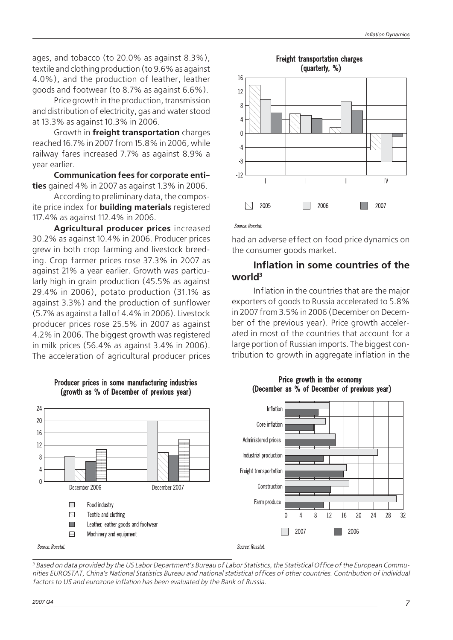<span id="page-8-0"></span>ages, and tobacco (to 20.0% as against 8.3%), textile and clothing production (to 9.6% as against 4.0%), and the production of leather, leather goods and footwear (to 8.7% as against 6.6%).

Price growth in the production, transmission and distribution of electricity, gas and water stood at 13.3% as against 10.3% in 2006.

Growth in **freight transportation** charges reached 16.7% in 2007 from 15.8% in 2006, while railway fares increased 7.7% as against 8.9% a year earlier.

**Communication fees for corporate enti ties** gained 4% in 2007 as against 1.3% in 2006.

According to preliminary data, the composite price index for **building materials** registered 117.4% as against 112.4% in 2006.

**Agricultural producer prices** increased 30.2% as against 10.4% in 2006. Producer prices grew in both crop farming and livestock breed ing. Crop farmer prices rose 37.3% in 2007 as against 21% a year earlier. Growth was particu larly high in grain production (45.5% as against 29.4% in 2006), potato production (31.1% as against 3.3%) and the production of sunflower (5.7% as against a fall of 4.4% in 2006). Livestock producer prices rose 25.5% in 2007 as against 4.2% in 2006. The biggest growth was registered in milk prices (56.4% as against 3.4% in 2006). The acceleration of agricultural producer prices



#### Producer prices in some manufacturing industries (growth as % of December of previous year)



Source: Rosstat

had an adverse effect on food price dynamics on the consumer goods market.

# **Inflation in some countries of the world3**

Inflation in the countries that are the major exporters of goods to Russia accelerated to 5.8% in 2007 from 3.5% in 2006 (December on Decem ber of the previous year). Price growth acceler ated in most of the countries that account for a large portion of Russian imports. The biggest con tribution to growth in aggregate inflation in the





<sup>3</sup> Based on data provided by the US Labor Department's Bureau of Labor Statistics, the Statistical Office of the European Communities EUROSTAT, China's National Statistics Bureau and national statistical offices of other countries. Contribution of individual factors to US and eurozone inflation has been evaluated by the Bank of Russia.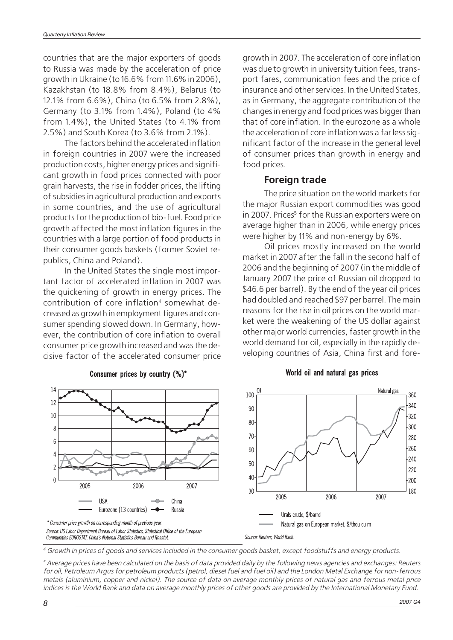<span id="page-9-0"></span>countries that are the major exporters of goods to Russia was made by the acceleration of price growth in Ukraine (to 16.6% from 11.6% in 2006), Kazakhstan (to 18.8% from 8.4%), Belarus (to 12.1% from 6.6%), China (to 6.5% from 2.8%), Germany (to 3.1% from 1.4%), Poland (to 4% from 1.4%), the United States (to 4.1% from 2.5%) and South Korea (to 3.6% from 2.1%).

The factors behind the accelerated inflation in foreign countries in 2007 were the increased production costs, higher energy prices and signifi cant growth in food prices connected with poor grain harvests, the rise in fodder prices, the lifting of subsidies in agricultural production and exports in some countries, and the use of agricultural products for the production of bio-fuel. Food price growth affected the most inflation figures in the countries with a large portion of food products in their consumer goods baskets (former Soviet re publics, China and Poland).

In the United States the single most impor tant factor of accelerated inflation in 2007 was the quickening of growth in energy prices. The contribution of core inflation<sup>4</sup> somewhat decreased as growth in employment figures and con sumer spending slowed down. In Germany, how ever, the contribution of core inflation to overall consumer price growth increased and was the de cisive factor of the accelerated consumer price growth in 2007. The acceleration of core inflation was due to growth in university tuition fees, trans port fares, communication fees and the price of insurance and other services. In the United States, as in Germany, the aggregate contribution of the changes in energy and food prices was bigger than that of core inflation. In the eurozone as a whole the acceleration of core inflation was a far less significant factor of the increase in the general level of consumer prices than growth in energy and food prices.

# **Foreign trade**

The price situation on the world markets for the major Russian export commodities was good in 2007. Prices<sup>5</sup> for the Russian exporters were on average higher than in 2006, while energy prices were higher by 11% and non-energy by 6%.

Oil prices mostly increased on the world market in 2007 after the fall in the second half of 2006 and the beginning of 2007 (in the middle of January 2007 the price of Russian oil dropped to \$46.6 per barrel). By the end of the year oil prices had doubled and reached \$97 per barrel. The main reasons for the rise in oil prices on the world mar ket were the weakening of the US dollar against other major world currencies, faster growth in the world demand for oil, especially in the rapidly de veloping countries of Asia, China first and fore-



#### Consumer prices by country (%)\*

### World oil and natural gas prices

<sup>4</sup> Growth in prices of goods and services included in the consumer goods basket, except foodstuffs and energy products.

<sup>5</sup> Average prices have been calculated on the basis of data provided daily by the following news agencies and exchanges: Reuters for oil, Petroleum Argus for petroleum products (petrol, diesel fuel and fuel oil) and the London Metal Exchange for non-ferrous metals (aluminium, copper and nickel). The source of data on average monthly prices of natural gas and ferrous metal price indices is the World Bank and data on average monthly prices of other goods are provided by the International Monetary Fund.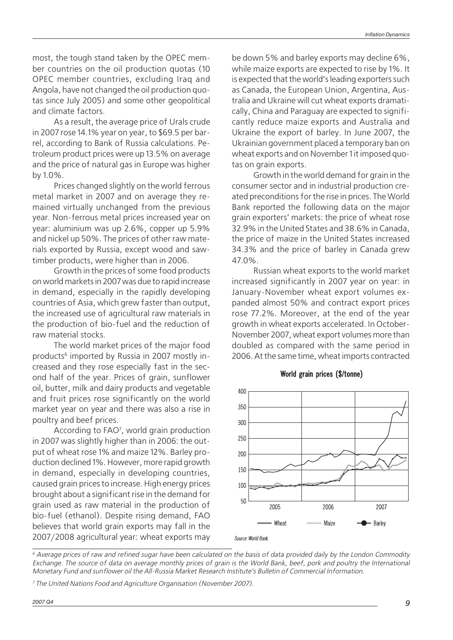most, the tough stand taken by the OPEC mem ber countries on the oil production quotas (10 OPEC member countries, excluding Iraq and Angola, have not changed the oil production quo tas since July 2005) and some other geopolitical and climate factors.

As a result, the average price of Urals crude in 2007 rose 14.1% year on year, to \$69.5 per bar rel, according to Bank of Russia calculations. Pe troleum product prices were up 13.5% on average and the price of natural gas in Europe was higher by 1.0%.

Prices changed slightly on the world ferrous metal market in 2007 and on average they re mained virtually unchanged from the previous year. Non-ferrous metal prices increased year on year: aluminium was up 2.6%, copper up 5.9% and nickel up 50%. The prices of other raw mate rials exported by Russia, except wood and saw timber products, were higher than in 2006.

Growth in the prices of some food products on world markets in 2007 was due to rapid increase in demand, especially in the rapidly developing countries of Asia, which grew faster than output, the increased use of agricultural raw materials in the production of bio-fuel and the reduction of raw material stocks.

The world market prices of the major food products<sup>6</sup> imported by Russia in 2007 mostly increased and they rose especially fast in the sec ond half of the year. Prices of grain, sunflower oil, butter, milk and dairy products and vegetable and fruit prices rose significantly on the world market year on year and there was also a rise in poultry and beef prices.

According to FAO7 , world grain production in 2007 was slightly higher than in 2006: the out put of wheat rose 1% and maize 12%. Barley pro duction declined 1%. However, more rapid growth in demand, especially in developing countries, caused grain prices to increase. High energy prices brought about a significant rise in the demand for grain used as raw material in the production of bio-fuel (ethanol). Despite rising demand, FAO believes that world grain exports may fall in the 2007/2008 agricultural year: wheat exports may

be down 5% and barley exports may decline 6%, while maize exports are expected to rise by 1%. It is expected that the world's leading exporters such as Canada, the European Union, Argentina, Aus tralia and Ukraine will cut wheat exports dramati cally, China and Paraguay are expected to signifi cantly reduce maize exports and Australia and Ukraine the export of barley. In June 2007, the Ukrainian government placed a temporary ban on wheat exports and on November 1 it imposed quo tas on grain exports.

Growth in the world demand for grain in the consumer sector and in industrial production cre ated preconditions for the rise in prices. The World Bank reported the following data on the major grain exporters' markets: the price of wheat rose 32.9% in the United States and 38.6% in Canada, the price of maize in the United States increased 34.3% and the price of barley in Canada grew 47.0%.

Russian wheat exports to the world market increased significantly in 2007 year on year: in January-November wheat export volumes ex panded almost 50% and contract export prices rose 77.2%. Moreover, at the end of the year growth in wheat exports accelerated. In October- November 2007, wheat export volumes more than doubled as compared with the same period in 2006. At the same time, wheat imports contracted





 $6$  Average prices of raw and refined sugar have been calculated on the basis of data provided daily by the London Commodity Exchange. The source of data on average monthly prices of grain is the World Bank, beef, pork and poultry the International Monetary Fund and sunflower oil the All-Russia Market Research Institute's Bulletin of Commercial Information.

<sup>7</sup> The United Nations Food and Agriculture Organisation (November 2007).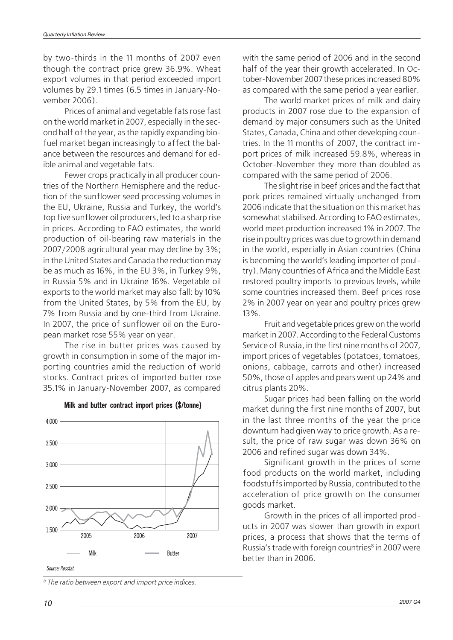by two-thirds in the 11 months of 2007 even though the contract price grew 36.9%. Wheat export volumes in that period exceeded import volumes by 29.1 times (6.5 times in January-No vember 2006).

Prices of animal and vegetable fats rose fast on the world market in 2007, especially in the sec ond half of the year, as the rapidly expanding bio fuel market began increasingly to affect the bal ance between the resources and demand for edible animal and vegetable fats.

Fewer crops practically in all producer coun tries of the Northern Hemisphere and the reduc tion of the sunflower seed processing volumes in the EU, Ukraine, Russia and Turkey, the world's top five sunflower oil producers, led to a sharp rise in prices. According to FAO estimates, the world production of oil-bearing raw materials in the 2007/2008 agricultural year may decline by 3%; in the United States and Canada the reduction may be as much as 16%, in the EU 3%, in Turkey 9%, in Russia 5% and in Ukraine 16%. Vegetable oil exports to the world market may also fall: by 10% from the United States, by 5% from the EU, by 7% from Russia and by one-third from Ukraine. In 2007, the price of sunflower oil on the Euro pean market rose 55% year on year.

The rise in butter prices was caused by growth in consumption in some of the major im porting countries amid the reduction of world stocks. Contract prices of imported butter rose 35.1% in January-November 2007, as compared



Milk and butter contract import prices (\$/tonne)

Source: Rosstat

<sup>8</sup> The ratio between export and import price indices.

with the same period of 2006 and in the second half of the year their growth accelerated. In Oc tober-November 2007 these prices increased 80% as compared with the same period a year earlier.

The world market prices of milk and dairy products in 2007 rose due to the expansion of demand by major consumers such as the United States, Canada, China and other developing coun tries. In the 11 months of 2007, the contract im port prices of milk increased 59.8%, whereas in October-November they more than doubled as compared with the same period of 2006.

The slight rise in beef prices and the fact that pork prices remained virtually unchanged from 2006 indicate that the situation on this market has somewhat stabilised. According to FAO estimates, world meet production increased 1% in 2007. The rise in poultry prices was due to growth in demand in the world, especially in Asian countries (China is becoming the world's leading importer of poul try). Many countries of Africa and the Middle East restored poultry imports to previous levels, while some countries increased them. Beef prices rose 2% in 2007 year on year and poultry prices grew 13%.

Fruit and vegetable prices grew on the world market in 2007. According to the Federal Customs Service of Russia, in the first nine months of 2007, import prices of vegetables (potatoes, tomatoes, onions, cabbage, carrots and other) increased 50%, those of apples and pears went up 24% and citrus plants 20%.

Sugar prices had been falling on the world market during the first nine months of 2007, but in the last three months of the year the price downturn had given way to price growth. As a re sult, the price of raw sugar was down 36% on 2006 and refined sugar was down 34%.

Significant growth in the prices of some food products on the world market, including foodstuffs imported by Russia, contributed to the acceleration of price growth on the consumer goods market.

Growth in the prices of all imported prod ucts in 2007 was slower than growth in export prices, a process that shows that the terms of Russia's trade with foreign countries<sup>8</sup> in 2007 were better than in 2006.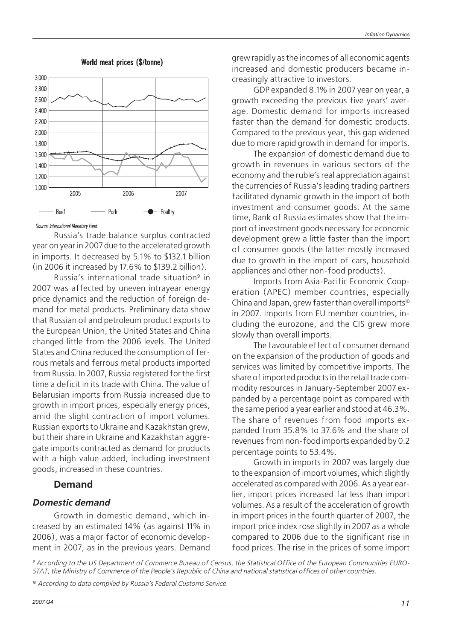<span id="page-12-0"></span>

### World meat prices (\$/tonne)

Source: International Monetary Fund.

Russia's trade balance surplus contracted year on year in 2007 due to the accelerated growth in imports. It decreased by 5.1% to \$132.1 billion (in 2006 it increased by 17.6% to \$139.2 billion).

Russia's international trade situation9 in 2007 was affected by uneven intrayear energy price dynamics and the reduction of foreign de mand for metal products. Preliminary data show that Russian oil and petroleum product exports to the European Union, the United States and China changed little from the 2006 levels. The United States and China reduced the consumption of fer rous metals and ferrous metal products imported from Russia. In 2007, Russia registered for the first time a deficit in its trade with China. The value of Belarusian imports from Russia increased due to growth in import prices, especially energy prices, amid the slight contraction of import volumes. Russian exports to Ukraine and Kazakhstan grew, but their share in Ukraine and Kazakhstan aggre gate imports contracted as demand for products with a high value added, including investment goods, increased in these countries.

### **Demand**

### **Domestic demand**

Growth in domestic demand, which in creased by an estimated 14% (as against 11% in 2006), was a major factor of economic develop ment in 2007, as in the previous years. Demand grew rapidly as the incomes of all economic agents increased and domestic producers became in creasingly attractive to investors.

GDP expanded 8.1% in 2007 year on year, a growth exceeding the previous five years' aver age. Domestic demand for imports increased faster than the demand for domestic products. Compared to the previous year, this gap widened due to more rapid growth in demand for imports.

The expansion of domestic demand due to growth in revenues in various sectors of the economy and the ruble's real appreciation against the currencies of Russia's leading trading partners facilitated dynamic growth in the import of both investment and consumer goods. At the same time, Bank of Russia estimates show that the im port of investment goods necessary for economic development grew a little faster than the import of consumer goods (the latter mostly increased due to growth in the import of cars, household appliances and other non-food products).

Imports from Asia-Pacific Economic Coop eration (APEC) member countries, especially China and Japan, grew faster than overall imports $10$ in 2007. Imports from EU member countries, in cluding the eurozone, and the CIS grew more slowly than overall imports.

The favourable effect of consumer demand on the expansion of the production of goods and services was limited by competitive imports. The share of imported products in the retail trade com modity resources in January-September 2007 ex panded by a percentage point as compared with the same period a year earlier and stood at 46.3%. The share of revenues from food imports ex panded from 35.8% to 37.6% and the share of revenues from non-food imports expanded by 0.2 percentage points to 53.4%.

Growth in imports in 2007 was largely due to the expansion of import volumes, which slightly accelerated as compared with 2006. As a year ear lier, import prices increased far less than import volumes. As a result of the acceleration of growth in import prices in the fourth quarter of 2007, the import price index rose slightly in 2007 as a whole compared to 2006 due to the significant rise in food prices. The rise in the prices of some import

9 According to the US Department of Commerce Bureau of Census, the Statistical Office of the European Communities EURO- STAT, the Ministry of Commerce of the People's Republic of China and national statistical offices of other countries.

<sup>10</sup> According to data compiled by Russia's Federal Customs Service.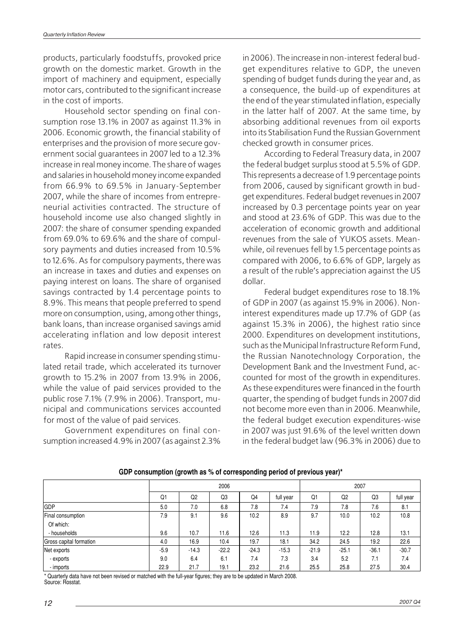products, particularly foodstuffs, provoked price growth on the domestic market. Growth in the import of machinery and equipment, especially motor cars, contributed to the significant increase in the cost of imports.

Household sector spending on final con sumption rose 13.1% in 2007 as against 11.3% in 2006. Economic growth, the financial stability of enterprises and the provision of more secure gov ernment social guarantees in 2007 led to a 12.3% increase in real money income. The share of wages and salaries in household money income expanded from 66.9% to 69.5% in January-September 2007, while the share of incomes from entrepreneurial activities contracted. The structure of household income use also changed slightly in 2007: the share of consumer spending expanded from 69.0% to 69.6% and the share of compul sory payments and duties increased from 10.5% to 12.6%. As for compulsory payments, there was an increase in taxes and duties and expenses on paying interest on loans. The share of organised savings contracted by 1.4 percentage points to 8.9%. This means that people preferred to spend more on consumption, using, among other things, bank loans, than increase organised savings amid accelerating inflation and low deposit interest rates.

Rapid increase in consumer spending stimu lated retail trade, which accelerated its turnover growth to 15.2% in 2007 from 13.9% in 2006, while the value of paid services provided to the public rose 7.1% (7.9% in 2006). Transport, mu nicipal and communications services accounted for most of the value of paid services.

Government expenditures on final con sumption increased 4.9% in 2007 (as against 2.3%

in 2006). The increase in non-interest federal budget expenditures relative to GDP, the uneven spending of budget funds during the year and, as a consequence, the build-up of expenditures at the end of the year stimulated inflation, especially in the latter half of 2007. At the same time, by absorbing additional revenues from oil exports into its Stabilisation Fund the Russian Government checked growth in consumer prices.

According to Federal Treasury data, in 2007 the federal budget surplus stood at 5.5% of GDP. This represents a decrease of 1.9 percentage points from 2006, caused by significant growth in bud get expenditures. Federal budget revenues in 2007 increased by 0.3 percentage points year on year and stood at 23.6% of GDP. This was due to the acceleration of economic growth and additional revenues from the sale of YUKOS assets. Mean while, oil revenues fell by 1.5 percentage points as compared with 2006, to 6.6% of GDP, largely as a result of the ruble's appreciation against the US dollar.

Federal budget expenditures rose to 18.1% of GDP in 2007 (as against 15.9% in 2006). Non interest expenditures made up 17.7% of GDP (as against 15.3% in 2006), the highest ratio since 2000. Expenditures on development institutions, such as the Municipal Infrastructure Reform Fund, the Russian Nanotechnology Corporation, the Development Bank and the Investment Fund, ac counted for most of the growth in expenditures. As these expenditures were financed in the fourth quarter, the spending of budget funds in 2007 did not become more even than in 2006. Meanwhile, the federal budget execution expenditures-wise in 2007 was just 91.6% of the level written down in the federal budget law (96.3% in 2006) due to

|                         |        | 2006           |         |         |           |         | 2007           |                |           |
|-------------------------|--------|----------------|---------|---------|-----------|---------|----------------|----------------|-----------|
|                         | Q1     | Q <sub>2</sub> | Q3      | Q4      | full year | Q1      | Q <sub>2</sub> | Q <sub>3</sub> | full year |
| <b>GDP</b>              | 5.0    | 7.0            | 6.8     | 7.8     | 7.4       | 7.9     | 7.8            | 7.6            | 8.1       |
| Final consumption       | 7.9    | 9.1            | 9.6     | 10.2    | 8.9       | 9.7     | 10.0           | 10.2           | 10.8      |
| Of which:               |        |                |         |         |           |         |                |                |           |
| - households            | 9.6    | 10.7           | 11.6    | 12.6    | 11.3      | 11.9    | 12.2           | 12.8           | 13.1      |
| Gross capital formation | 4.0    | 16.9           | 10.4    | 19.7    | 18.1      | 34.2    | 24.5           | 19.2           | 22.6      |
| Net exports             | $-5.9$ | $-14.3$        | $-22.2$ | $-24.3$ | $-15.3$   | $-21.9$ | $-25.1$        | $-36.1$        | $-30.7$   |
| - exports               | 9.0    | 6.4            | 6.1     | 7.4     | 7.3       | 3.4     | 5.2            | 7.1            | 7.4       |
| - imports               | 22.9   | 21.7           | 19.1    | 23.2    | 21.6      | 25.5    | 25.8           | 27.5           | 30.4      |

**GDP consumption (growth as % of corresponding period of previous year)\***

\* Quarterly data have not been revised or matched with the full-year figures; they are to be updated in March 2008. Source: Rosstat.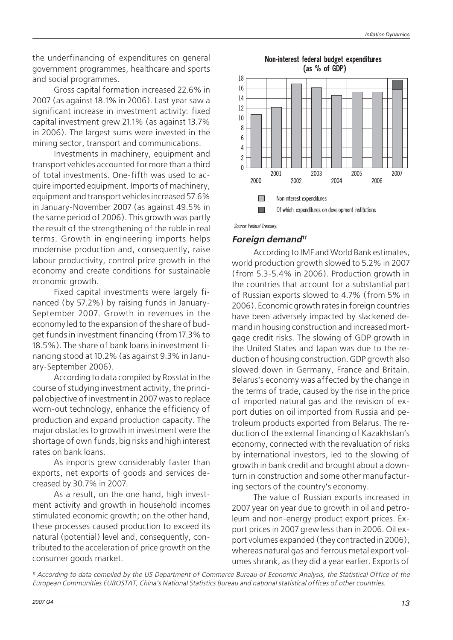the underfinancing of expenditures on general government programmes, healthcare and sports and social programmes.

Gross capital formation increased 22.6% in 2007 (as against 18.1% in 2006). Last year saw a significant increase in investment activity: fixed capital investment grew 21.1% (as against 13.7% in 2006). The largest sums were invested in the mining sector, transport and communications.

Investments in machinery, equipment and transport vehicles accounted for more than a third of total investments. One-fifth was used to acquire imported equipment. Imports of machinery, equipment and transport vehicles increased 57.6% in January-November 2007 (as against 49.5% in the same period of 2006). This growth was partly the result of the strengthening of the ruble in real terms. Growth in engineering imports helps modernise production and, consequently, raise labour productivity, control price growth in the economy and create conditions for sustainable economic growth.

Fixed capital investments were largely fi nanced (by 57.2%) by raising funds in January- September 2007. Growth in revenues in the economy led to the expansion of the share of bud get funds in investment financing (from 17.3% to 18.5%). The share of bank loans in investment fi nancing stood at 10.2% (as against 9.3% in Janu ary-September 2006).

According to data compiled by Rosstat in the course of studying investment activity, the princi pal objective of investment in 2007 was to replace worn-out technology, enhance the efficiency of production and expand production capacity. The major obstacles to growth in investment were the shortage of own funds, big risks and high interest rates on bank loans.

As imports grew considerably faster than exports, net exports of goods and services de creased by 30.7% in 2007.

As a result, on the one hand, high invest ment activity and growth in household incomes stimulated economic growth; on the other hand, these processes caused production to exceed its natural (potential) level and, consequently, con tributed to the acceleration of price growth on the consumer goods market.



Non-interest federal budget expenditures (as % of GDP)

Source: Federal Treasury.

### **Foreign demand<sup>11</sup>**

According to IMF and World Bank estimates, world production growth slowed to 5.2% in 2007 (from 5.3-5.4% in 2006). Production growth in the countries that account for a substantial part of Russian exports slowed to 4.7% (from 5% in 2006). Economic growth rates in foreign countries have been adversely impacted by slackened de mand in housing construction and increased mort gage credit risks. The slowing of GDP growth in the United States and Japan was due to the re duction of housing construction. GDP growth also slowed down in Germany, France and Britain. Belarus's economy was affected by the change in the terms of trade, caused by the rise in the price of imported natural gas and the revision of ex port duties on oil imported from Russia and pe troleum products exported from Belarus. The re duction of the external financing of Kazakhstan's economy, connected with the revaluation of risks by international investors, led to the slowing of growth in bank credit and brought about a down turn in construction and some other manufactur ing sectors of the country's economy.

The value of Russian exports increased in 2007 year on year due to growth in oil and petro leum and non-energy product export prices. Ex port prices in 2007 grew less than in 2006. Oil ex port volumes expanded (they contracted in 2006), whereas natural gas and ferrous metal export vol umes shrank, as they did a year earlier. Exports of

<sup>11</sup> According to data compiled by the US Department of Commerce Bureau of Economic Analysis, the Statistical Office of the European Communities EUROSTAT, China's National Statistics Bureau and national statistical offices of other countries.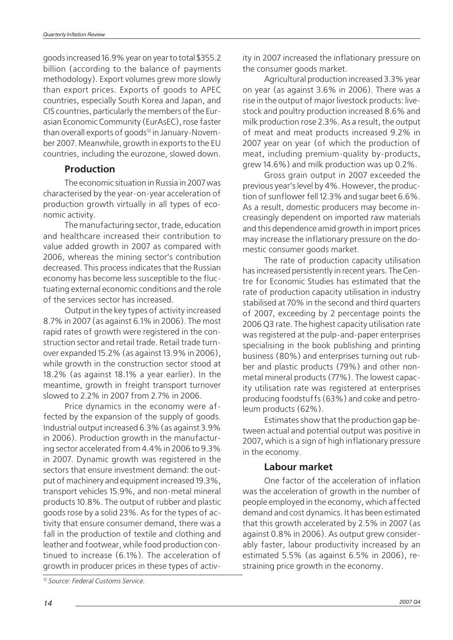<span id="page-15-0"></span>goods increased 16.9% year on year to total \$355.2 billion (according to the balance of payments methodology). Export volumes grew more slowly than export prices. Exports of goods to APEC countries, especially South Korea and Japan, and CIS countries, particularly the members of the Eur asian Economic Community (EurAsEC), rose faster than overall exports of goods<sup>12</sup> in January-November 2007. Meanwhile, growth in exports to the EU countries, including the eurozone, slowed down.

# **Production**

The economic situation in Russia in 2007 was characterised by the year-on-year acceleration of production growth virtually in all types of eco nomic activity.

The manufacturing sector, trade, education and healthcare increased their contribution to value added growth in 2007 as compared with 2006, whereas the mining sector's contribution decreased. This process indicates that the Russian economy has become less susceptible to the fluc tuating external economic conditions and the role of the services sector has increased.

Output in the key types of activity increased 8.7% in 2007 (as against 6.1% in 2006). The most rapid rates of growth were registered in the con struction sector and retail trade. Retail trade turn over expanded 15.2% (as against 13.9% in 2006), while growth in the construction sector stood at 18.2% (as against 18.1% a year earlier). In the meantime, growth in freight transport turnover slowed to 2.2% in 2007 from 2.7% in 2006.

Price dynamics in the economy were af fected by the expansion of the supply of goods. Industrial output increased 6.3% (as against 3.9% in 2006). Production growth in the manufactur ing sector accelerated from 4.4% in 2006 to 9.3% in 2007. Dynamic growth was registered in the sectors that ensure investment demand: the out put of machinery and equipment increased 19.3%, transport vehicles 15.9%, and non-metal mineral products 10.8%. The output of rubber and plastic goods rose by a solid 23%. As for the types of ac tivity that ensure consumer demand, there was a fall in the production of textile and clothing and leather and footwear, while food production con tinued to increase (6.1%). The acceleration of growth in producer prices in these types of activity in 2007 increased the inflationary pressure on the consumer goods market.

Agricultural production increased 3.3% year on year (as against 3.6% in 2006). There was a rise in the output of major livestock products: live stock and poultry production increased 8.6% and milk production rose 2.3%. As a result, the output of meat and meat products increased 9.2% in 2007 year on year (of which the production of meat, including premium-quality by-products, grew 14.6%) and milk production was up 0.2%.

Gross grain output in 2007 exceeded the previous year's level by 4%. However, the produc tion of sunflower fell 12.3% and sugar beet 6.6%. As a result, domestic producers may become in creasingly dependent on imported raw materials and this dependence amid growth in import prices may increase the inflationary pressure on the do mestic consumer goods market.

The rate of production capacity utilisation has increased persistently in recent years. The Cen tre for Economic Studies has estimated that the rate of production capacity utilisation in industry stabilised at 70% in the second and third quarters of 2007, exceeding by 2 percentage points the 2006 Q3 rate. The highest capacity utilisation rate was registered at the pulp-and-paper enterprises specialising in the book publishing and printing business (80%) and enterprises turning out rub ber and plastic products (79%) and other non metal mineral products (77%). The lowest capac ity utilisation rate was registered at enterprises producing foodstuffs (63%) and coke and petro leum products (62%).

Estimates show that the production gap be tween actual and potential output was positive in 2007, which is a sign of high inflationary pressure in the economy.

# **Labour market**

One factor of the acceleration of inflation was the acceleration of growth in the number of people employed in the economy, which affected demand and cost dynamics. It has been estimated that this growth accelerated by 2.5% in 2007 (as against 0.8% in 2006). As output grew consider ably faster, labour productivity increased by an estimated 5.5% (as against 6.5% in 2006), re straining price growth in the economy.

<sup>12</sup> Source: Federal Customs Service.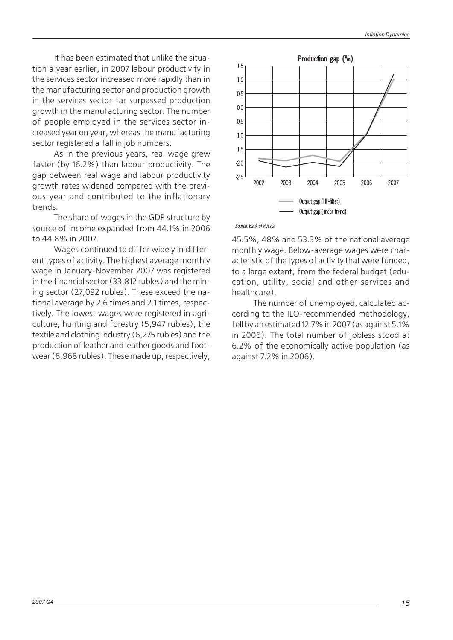It has been estimated that unlike the situation a year earlier, in 2007 labour productivity in the services sector increased more rapidly than in the manufacturing sector and production growth in the services sector far surpassed production growth in the manufacturing sector. The number of people employed in the services sector in creased year on year, whereas the manufacturing sector registered a fall in job numbers.

As in the previous years, real wage grew faster (by 16.2%) than labour productivity. The gap between real wage and labour productivity growth rates widened compared with the previ ous year and contributed to the inflationary trends.

The share of wages in the GDP structure by source of income expanded from 44.1% in 2006 to 44.8% in 2007.

Wages continued to differ widely in differ ent types of activity. The highest average monthly wage in January-November 2007 was registered in the financial sector (33,812 rubles) and the min ing sector (27,092 rubles). These exceed the na tional average by 2.6 times and 2.1 times, respec tively. The lowest wages were registered in agri culture, hunting and forestry (5,947 rubles), the textile and clothing industry (6,275 rubles) and the production of leather and leather goods and foot wear (6,968 rubles). These made up, respectively,



#### Source: Bank of Russia.

45.5%, 48% and 53.3% of the national average monthly wage. Below-average wages were char acteristic of the types of activity that were funded, to a large extent, from the federal budget (edu cation, utility, social and other services and healthcare).

The number of unemployed, calculated ac cording to the ILO-recommended methodology, fell by an estimated 12.7% in 2007 (as against 5.1% in 2006). The total number of jobless stood at 6.2% of the economically active population (as against 7.2% in 2006).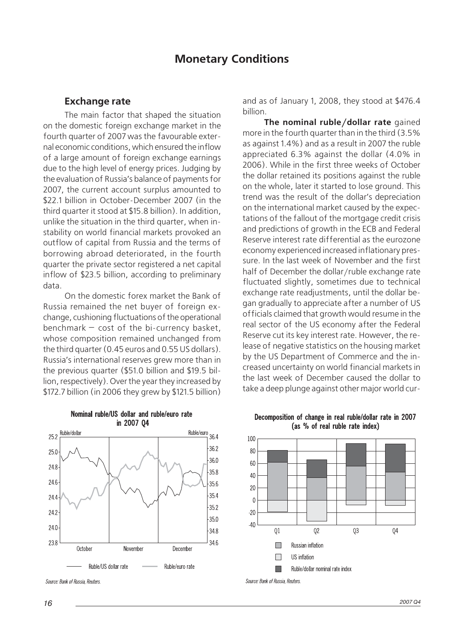# **Monetary Conditions**

### <span id="page-17-0"></span>**Exchange rate**

The main factor that shaped the situation on the domestic foreign exchange market in the fourth quarter of 2007 was the favourable exter nal economic conditions, which ensured the inflow of a large amount of foreign exchange earnings due to the high level of energy prices. Judging by the evaluation of Russia's balance of payments for 2007, the current account surplus amounted to \$22.1 billion in October-December 2007 (in the third quarter it stood at \$15.8 billion). In addition, unlike the situation in the third quarter, when in stability on world financial markets provoked an outflow of capital from Russia and the terms of borrowing abroad deteriorated, in the fourth quarter the private sector registered a net capital inflow of \$23.5 billion, according to preliminary data.

On the domestic forex market the Bank of Russia remained the net buyer of foreign ex change, cushioning fluctuations of the operational benchmark — cost of the bi-currency basket, whose composition remained unchanged from the third quarter (0.45 euros and 0.55 US dollars). Russia's international reserves grew more than in the previous quarter (\$51.0 billion and \$19.5 bil lion, respectively). Over the year they increased by \$172.7 billion (in 2006 they grew by \$121.5 billion) and as of January 1, 2008, they stood at \$476.4 billion.

**The nominal ruble/dollar rate** gained more in the fourth quarter than in the third (3.5% as against 1.4%) and as a result in 2007 the ruble appreciated 6.3% against the dollar (4.0% in 2006). While in the first three weeks of October the dollar retained its positions against the ruble on the whole, later it started to lose ground. This trend was the result of the dollar's depreciation on the international market caused by the expec tations of the fallout of the mortgage credit crisis and predictions of growth in the ECB and Federal Reserve interest rate differential as the eurozone economy experienced increased inflationary pres sure. In the last week of November and the first half of December the dollar/ruble exchange rate fluctuated slightly, sometimes due to technical exchange rate readjustments, until the dollar be gan gradually to appreciate after a number of US officials claimed that growth would resume in the real sector of the US economy after the Federal Reserve cut its key interest rate. However, the re lease of negative statistics on the housing market by the US Department of Commerce and the in creased uncertainty on world financial markets in the last week of December caused the dollar to take a deep plunge against other major world cur-



Nominal ruble/US dollar and ruble/euro rate in 2007 04

Source: Rank of Russia, Reuters

Decomposition of change in real ruble/dollar rate in 2007 (as % of real ruble rate index)



Source: Bank of Russia, Reuters.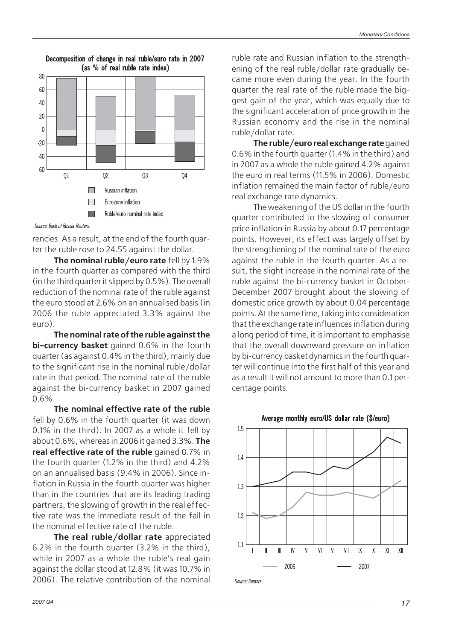

Decomposition of change in real ruble/euro rate in 2007 (as % of real ruble rate index)

Source: Bank of Russia, Reuters.

rencies. As a result, at the end of the fourth quar ter the ruble rose to 24.55 against the dollar.

**The nominal ruble/euro rate** fell by 1.9% in the fourth quarter as compared with the third (in the third quarter it slipped by 0.5%). The overall reduction of the nominal rate of the ruble against the euro stood at 2.6% on an annualised basis (in 2006 the ruble appreciated 3.3% against the euro).

**The nominal rate of the ruble against the bi-currency basket** gained 0.6% in the fourth quarter (as against 0.4% in the third), mainly due to the significant rise in the nominal ruble/dollar rate in that period. The nominal rate of the ruble against the bi-currency basket in 2007 gained 0.6%.

**The nominal effective rate of the ruble** fell by 0.6% in the fourth quarter (it was down 0.1% in the third). In 2007 as a whole it fell by about 0.6%, whereas in 2006 it gained 3.3%. **The real effective rate of the ruble** gained 0.7% in the fourth quarter (1.2% in the third) and 4.2% on an annualised basis (9.4% in 2006). Since in flation in Russia in the fourth quarter was higher than in the countries that are its leading trading partners, the slowing of growth in the real effec tive rate was the immediate result of the fall in the nominal effective rate of the ruble.

**The real ruble/dollar rate** appreciated 6.2% in the fourth quarter (3.2% in the third), while in 2007 as a whole the ruble's real gain against the dollar stood at 12.8% (it was 10.7% in 2006). The relative contribution of the nominal

ruble rate and Russian inflation to the strength ening of the real ruble/dollar rate gradually be came more even during the year. In the fourth quarter the real rate of the ruble made the big gest gain of the year, which was equally due to the significant acceleration of price growth in the Russian economy and the rise in the nominal ruble/dollar rate.

**The ruble/euro real exchange rate** gained 0.6% in the fourth quarter (1.4% in the third) and in 2007 as a whole the ruble gained 4.2% against the euro in real terms (11.5% in 2006). Domestic inflation remained the main factor of ruble/euro real exchange rate dynamics.

The weakening of the US dollar in the fourth quarter contributed to the slowing of consumer price inflation in Russia by about 0.17 percentage points. However, its effect was largely offset by the strengthening of the nominal rate of the euro against the ruble in the fourth quarter. As a re sult, the slight increase in the nominal rate of the ruble against the bi-currency basket in October- December 2007 brought about the slowing of domestic price growth by about 0.04 percentage points. At the same time, taking into consideration that the exchange rate influences inflation during a long period of time, it is important to emphasise that the overall downward pressure on inflation by bi-currency basket dynamics in the fourth quar ter will continue into the first half of this year and as a result it will not amount to more than 0.1 per centage points.



Source: Reuters

Average monthly euro/US dollar rate (\$/euro)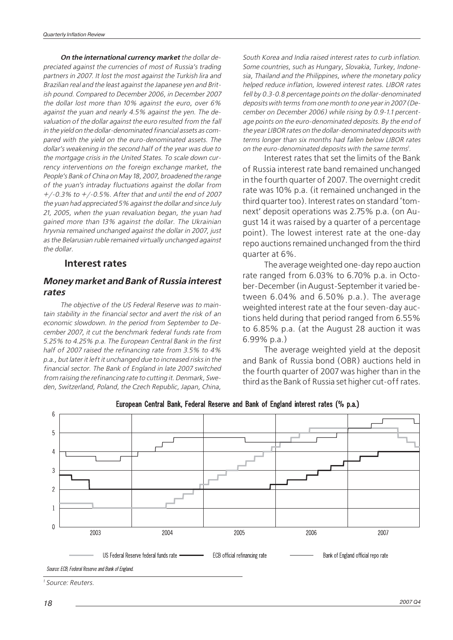<span id="page-19-0"></span>**On the international currency market** the dollar de preciated against the currencies of most of Russia's trading partners in 2007. It lost the most against the Turkish lira and Brazilian real and the least against the Japanese yen and Brit ish pound. Compared to December 2006, in December 2007 the dollar lost more than 10% against the euro, over 6% against the yuan and nearly 4.5% against the yen. The de valuation of the dollar against the euro resulted from the fall in the yield on the dollar-denominated financial assets as compared with the yield on the euro-denominated assets. The dollar's weakening in the second half of the year was due to the mortgage crisis in the United States. To scale down cur rency interventions on the foreign exchange market, the People's Bank of China on May 18, 2007, broadened the range of the yuan's intraday fluctuations against the dollar from +/-0.3% to +/-0.5%. After that and until the end of 2007 the yuan had appreciated 5% against the dollar and since July 21, 2005, when the yuan revaluation began, the yuan had gained more than 13% against the dollar. The Ukrainian hryvnia remained unchanged against the dollar in 2007, just as the Belarusian ruble remained virtually unchanged against the dollar.

### **Interest rates**

### **Money market and Bank of Russia interest rates**

The objective of the US Federal Reserve was to main tain stability in the financial sector and avert the risk of an economic slowdown. In the period from September to De cember 2007, it cut the benchmark federal funds rate from 5.25% to 4.25% p.a. The European Central Bank in the first half of 2007 raised the refinancing rate from 3.5% to 4% p.a., but later it left it unchanged due to increased risks in the financial sector. The Bank of England in late 2007 switched from raising the refinancing rate to cutting it. Denmark, Swe den, Switzerland, Poland, the Czech Republic, Japan, China,

South Korea and India raised interest rates to curb inflation. Some countries, such as Hungary, Slovakia, Turkey, Indone sia, Thailand and the Philippines, where the monetary policy helped reduce inflation, lowered interest rates. LIBOR rates fell by 0.3-0.8 percentage points on the dollar-denominated deposits with terms from one month to one year in 2007 (De cember on December 2006) while rising by 0.9-1.1 percent age points on the euro-denominated deposits. By the end of the year LIBOR rates on the dollar-denominated deposits with terms longer than six months had fallen below LIBOR rates on the euro-denominated deposits with the same terms<sup>1</sup>.

Interest rates that set the limits of the Bank of Russia interest rate band remained unchanged in the fourth quarter of 2007. The overnight credit rate was 10% p.a. (it remained unchanged in the third quarter too). Interest rates on standard 'tom next' deposit operations was 2.75% p.a. (on Au gust 14 it was raised by a quarter of a percentage point). The lowest interest rate at the one-day repo auctions remained unchanged from the third quarter at 6%.

The average weighted one-day repo auction rate ranged from 6.03% to 6.70% p.a. in Octo ber-December (in August-September it varied be tween 6.04% and 6.50% p.a.). The average weighted interest rate at the four seven-day auc tions held during that period ranged from 6.55% to 6.85% p.a. (at the August 28 auction it was 6.99% p.a.)

The average weighted yield at the deposit and Bank of Russia bond (OBR) auctions held in the fourth quarter of 2007 was higher than in the third as the Bank of Russia set higher cut-off rates.



European Central Bank, Federal Reserve and Bank of England interest rates (% p.a.)

<sup>1</sup> Source: Reuters.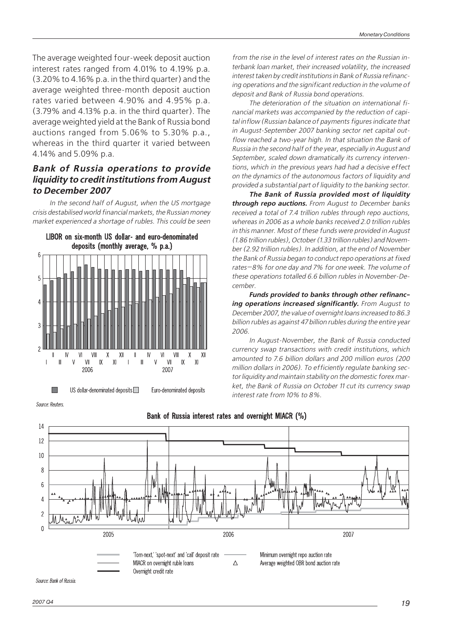The average weighted four-week deposit auction interest rates ranged from 4.01% to 4.19% p.a. (3.20% to 4.16% p.a. in the third quarter) and the average weighted three-month deposit auction rates varied between 4.90% and 4.95% p.a. (3.79% and 4.13% p.a. in the third quarter). The average weighted yield at the Bank of Russia bond auctions ranged from 5.06% to 5.30% p.a., whereas in the third quarter it varied between 4.14% and 5.09% p.a.

# **Bank of Russia operations to provide liquidity to credit institutions from August to December 2007**

In the second half of August, when the US mortgage crisis destabilised world financial markets, the Russian money market experienced a shortage of rubles. This could be seen



Source: Reuters



from the rise in the level of interest rates on the Russian interbank loan market, their increased volatility, the increased interest taken by credit institutions in Bank of Russia refinanc ing operations and the significant reduction in the volume of deposit and Bank of Russia bond operations.

The deterioration of the situation on international fi nancial markets was accompanied by the reduction of capi tal inflow (Russian balance of payments figures indicate that in August-September 2007 banking sector net capital out flow reached a two-year high. In that situation the Bank of Russia in the second half of the year, especially in August and September, scaled down dramatically its currency interven tions, which in the previous years had had a decisive effect on the dynamics of the autonomous factors of liquidity and provided a substantial part of liquidity to the banking sector.

**The Bank of Russia provided most of liquidity through repo auctions.** From August to December banks received a total of 7.4 trillion rubles through repo auctions, whereas in 2006 as a whole banks received 2.0 trillion rubles in this manner. Most of these funds were provided in August (1.86 trillion rubles), October (1.33 trillion rubles) and Novem ber (2.92 trillion rubles). In addition, at the end of November the Bank of Russia began to conduct repo operations at fixed rates—8% for one day and 7% for one week. The volume of these operations totalled 6.6 billion rubles in November-De cember.

**Funds provided to banks through other refinanc ing operations increased significantly.** From August to December 2007, the value of overnight loans increased to 86.3 billion rubles as against 47 billion rubles during the entire year 2006.

In August-November, the Bank of Russia conducted currency swap transactions with credit institutions, which amounted to 7.6 billion dollars and 200 million euros (200 million dollars in 2006). To efficiently regulate banking sec tor liquidity and maintain stability on the domestic forex mar ket, the Bank of Russia on October 11 cut its currency swap interest rate from 10% to 8%.

Source: Bank of Russia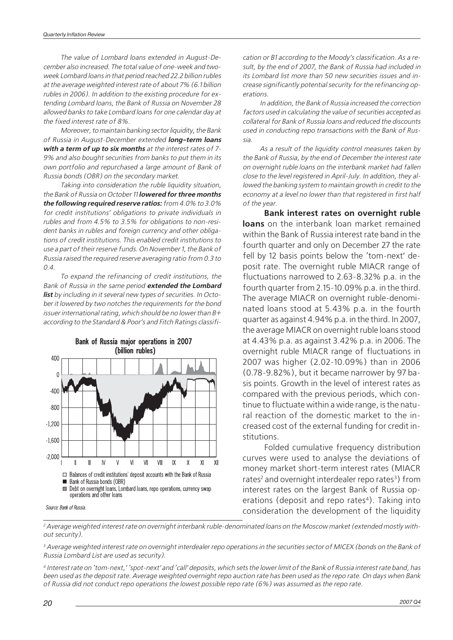The value of Lombard loans extended in August-De cember also increased. The total value of one-week and twoweek Lombard loans in that period reached 22.2 billion rubles at the average weighted interest rate of about 7% (6.1 billion rubles in 2006). In addition to the existing procedure for ex tending Lombard loans, the Bank of Russia on November 28 allowed banks to take Lombard loans for one calendar day at the fixed interest rate of 8%.

Moreover, to maintain banking sector liquidity, the Bank of Russia in August-December extended **long-term loans with a term of up to six months** at the interest rates of 7- 9% and also bought securities from banks to put them in its own portfolio and repurchased a large amount of Bank of Russia bonds (OBR) on the secondary market.

Taking into consideration the ruble liquidity situation, the Bank of Russia on October 11 **lowered for three months the following required reserve ratios:** from 4.0% to 3.0% for credit institutions' obligations to private individuals in rubles and from 4.5% to 3.5% for obligations to non-resi dent banks in rubles and foreign currency and other obliga tions of credit institutions. This enabled credit institutions to use a part of their reserve funds. On November 1, the Bank of Russia raised the required reserve averaging ratio from 0.3 to 0.4.

To expand the refinancing of credit institutions, the Bank of Russia in the same period **extended the Lombard list** by including in it several new types of securities. In Octo ber it lowered by two notches the requirements for the bond issuer international rating, which should be no lower than  $B+$ according to the Standard & Poor's and Fitch Ratings classifi-



Source: Bank of Russia.

cation or B1 according to the Moody's classification. As a re sult, by the end of 2007, the Bank of Russia had included in its Lombard list more than 50 new securities issues and in crease significantly potential security for the refinancing op erations.

In addition, the Bank of Russia increased the correction factors used in calculating the value of securities accepted as collateral for Bank of Russia loans and reduced the discounts used in conducting repo transactions with the Bank of Rus sia.

As a result of the liquidity control measures taken by the Bank of Russia, by the end of December the interest rate on overnight ruble loans on the interbank market had fallen close to the level registered in April-July. In addition, they al lowed the banking system to maintain growth in credit to the economy at a level no lower than that registered in first half of the year.

**Bank interest rates on overnight ruble loans** on the interbank loan market remained within the Bank of Russia interest rate band in the fourth quarter and only on December 27 the rate fell by 12 basis points below the 'tom-next' de posit rate. The overnight ruble MIACR range of fluctuations narrowed to 2.63-8.32% p.a. in the fourth quarter from 2.15-10.09% p.a. in the third. The average MIACR on overnight ruble-denomi nated loans stood at 5.43% p.a. in the fourth quarter as against 4.94% p.a. in the third. In 2007, the average MIACR on overnight ruble loans stood at 4.43% p.a. as against 3.42% p.a. in 2006. The overnight ruble MIACR range of fluctuations in 2007 was higher (2.02-10.09%) than in 2006 (0.78-9.82%), but it became narrower by 97 ba sis points. Growth in the level of interest rates as compared with the previous periods, which con tinue to fluctuate within a wide range, is the natural reaction of the domestic market to the in creased cost of the external funding for credit in stitutions.

Folded cumulative frequency distribution curves were used to analyse the deviations of money market short-term interest rates (MIACR rates<sup>2</sup> and overnight interdealer repo rates<sup>3</sup>) from interest rates on the largest Bank of Russia op erations (deposit and repo rates<sup>4</sup>). Taking into consideration the development of the liquidity

<sup>2</sup> Average weighted interest rate on overnight interbank ruble-denominated loans on the Moscow market (extended mostly without security).

<sup>3</sup> Average weighted interest rate on overnight interdealer repo operations in the securities sector of MICEX (bonds on the Bank of Russia Lombard List are used as security).

<sup>4</sup> Interest rate on 'tom-next,' 'spot-next' and 'call' deposits, which sets the lower limit of the Bank of Russia interest rate band, has been used as the deposit rate. Average weighted overnight repo auction rate has been used as the repo rate. On days when Bank of Russia did not conduct repo operations the lowest possible repo rate (6%) was assumed as the repo rate.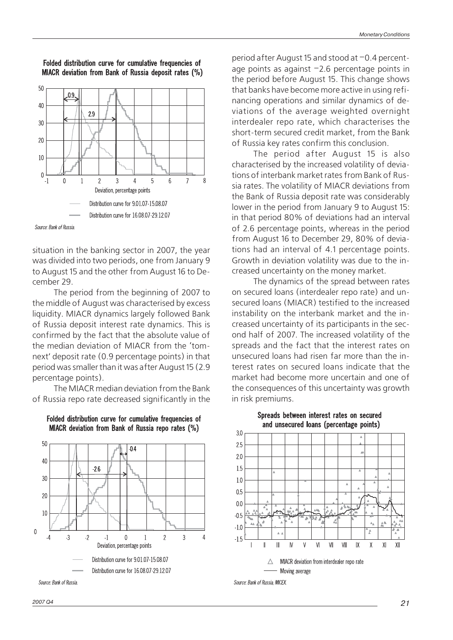

Folded distribution curve for cumulative frequencies of MIACR deviation from Bank of Russia deposit rates (%)

Source: Bank of Russia

situation in the banking sector in 2007, the year was divided into two periods, one from January 9 to August 15 and the other from August 16 to De cember 29.

The period from the beginning of 2007 to the middle of August was characterised by excess liquidity. MIACR dynamics largely followed Bank of Russia deposit interest rate dynamics. This is confirmed by the fact that the absolute value of the median deviation of MIACR from the 'tomnext' deposit rate (0.9 percentage points) in that period was smaller than it was after August 15 (2.9 percentage points).

The MIACR median deviation from the Bank of Russia repo rate decreased significantly in the





*2007 Q4 21*

period after August 15 and stood at –0.4 percent age points as against –2.6 percentage points in the period before August 15. This change shows that banks have become more active in using refinancing operations and similar dynamics of de viations of the average weighted overnight interdealer repo rate, which characterises the short-term secured credit market, from the Bank of Russia key rates confirm this conclusion.

The period after August 15 is also characterised by the increased volatility of deviations of interbank market rates from Bank of Russia rates. The volatility of MIACR deviations from the Bank of Russia deposit rate was considerably lower in the period from January 9 to August 15: in that period 80% of deviations had an interval of 2.6 percentage points, whereas in the period from August 16 to December 29, 80% of devia tions had an interval of 4.1 percentage points. Growth in deviation volatility was due to the in creased uncertainty on the money market.

The dynamics of the spread between rates on secured loans (interdealer repo rate) and un secured loans (MIACR) testified to the increased instability on the interbank market and the in creased uncertainty of its participants in the sec ond half of 2007. The increased volatility of the spreads and the fact that the interest rates on unsecured loans had risen far more than the interest rates on secured loans indicate that the market had become more uncertain and one of the consequences of this uncertainty was growth in risk premiums.



Spreads between interest rates on secured and unsecured loans (percentage points)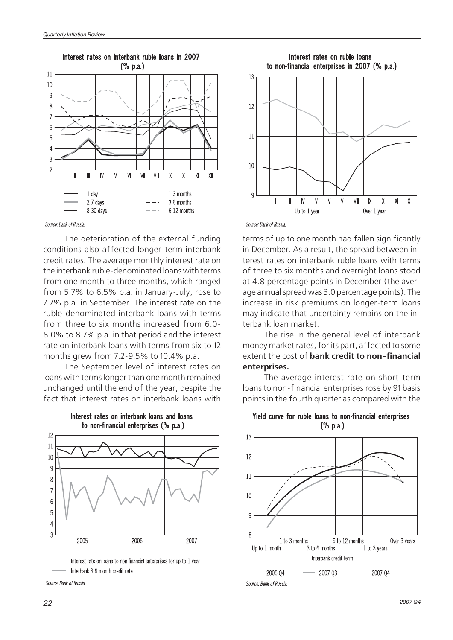

Source: Bank of Russia

The deterioration of the external funding conditions also affected longer-term interbank credit rates. The average monthly interest rate on the interbank ruble-denominated loans with terms from one month to three months, which ranged from 5.7% to 6.5% p.a. in January-July, rose to 7.7% p.a. in September. The interest rate on the ruble-denominated interbank loans with terms from three to six months increased from 6.0-8.0% to 8.7% p.a. in that period and the interest rate on interbank loans with terms from six to 12 months grew from 7.2-9.5% to 10.4% p.a.

The September level of interest rates on loans with terms longer than one month remained unchanged until the end of the year, despite the fact that interest rates on interbank loans with



Interest rates on interbank loans and loans to non-financial enterprises (% p.a.)

Interest rate on loans to non-financial enterprises for up to 1 year Interbank 3-6 month credit rate



Source: Bank of Russia

terms of up to one month had fallen significantly in December. As a result, the spread between interest rates on interbank ruble loans with terms of three to six months and overnight loans stood at 4.8 percentage points in December (the aver age annual spread was 3.0 percentage points). The increase in risk premiums on longer-term loans may indicate that uncertainty remains on the in terbank loan market.

The rise in the general level of interbank money market rates, for its part, affected to some extent the cost of **bank credit to non-financial enterprises.**

The average interest rate on short-term loans to non-financial enterprises rose by 91 basis points in the fourth quarter as compared with the



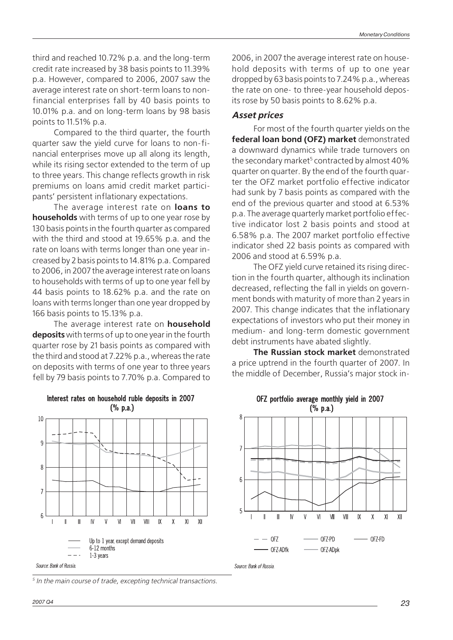third and reached 10.72% p.a. and the long-term credit rate increased by 38 basis points to 11.39% p.a. However, compared to 2006, 2007 saw the average interest rate on short-term loans to non financial enterprises fall by 40 basis points to 10.01% p.a. and on long-term loans by 98 basis points to 11.51% p.a.

Compared to the third quarter, the fourth quarter saw the yield curve for loans to non-fi nancial enterprises move up all along its length, while its rising sector extended to the term of up to three years. This change reflects growth in risk premiums on loans amid credit market partici pants' persistent inflationary expectations.

The average interest rate on **loans to households** with terms of up to one year rose by 130 basis points in the fourth quarter as compared with the third and stood at 19.65% p.a. and the rate on loans with terms longer than one year in creased by 2 basis points to 14.81% p.a. Compared to 2006, in 2007 the average interest rate on loans to households with terms of up to one year fell by 44 basis points to 18.62% p.a. and the rate on loans with terms longer than one year dropped by 166 basis points to 15.13% p.a.

The average interest rate on **household deposits** with terms of up to one year in the fourth quarter rose by 21 basis points as compared with the third and stood at 7.22% p.a., whereas the rate on deposits with terms of one year to three years fell by 79 basis points to 7.70% p.a. Compared to

2006, in 2007 the average interest rate on house hold deposits with terms of up to one year dropped by 63 basis points to 7.24% p.a., whereas the rate on one- to three-year household depos its rose by 50 basis points to 8.62% p.a.

# **Asset prices**

For most of the fourth quarter yields on the **federal loan bond (OFZ) market** demonstrated a downward dynamics while trade turnovers on the secondary market<sup>5</sup> contracted by almost 40% quarter on quarter. By the end of the fourth quar ter the OFZ market portfolio effective indicator had sunk by 7 basis points as compared with the end of the previous quarter and stood at 6.53% p.a. The average quarterly market portfolio effec tive indicator lost 2 basis points and stood at 6.58% p.a. The 2007 market portfolio effective indicator shed 22 basis points as compared with 2006 and stood at 6.59% p.a.

The OFZ yield curve retained its rising direc tion in the fourth quarter, although its inclination decreased, reflecting the fall in yields on govern ment bonds with maturity of more than 2 years in 2007. This change indicates that the inflationary expectations of investors who put their money in medium- and long-term domestic government debt instruments have abated slightly.

**The Russian stock market** demonstrated a price uptrend in the fourth quarter of 2007. In the middle of December, Russia's major stock in-



Interest rates on household ruble deposits in 2007

 $X$  $X$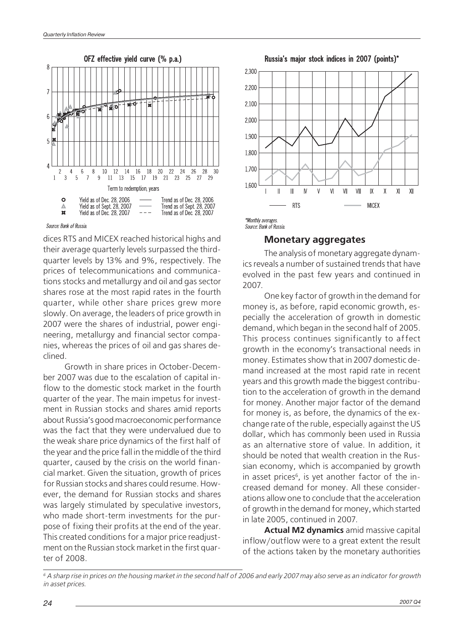<span id="page-25-0"></span>

Source: Bank of Russia

dices RTS and MICEX reached historical highs and their average quarterly levels surpassed the third quarter levels by 13% and 9%, respectively. The prices of telecommunications and communica tions stocks and metallurgy and oil and gas sector shares rose at the most rapid rates in the fourth quarter, while other share prices grew more slowly. On average, the leaders of price growth in 2007 were the shares of industrial, power engi neering, metallurgy and financial sector compa nies, whereas the prices of oil and gas shares de clined.

Growth in share prices in October-Decem ber 2007 was due to the escalation of capital in flow to the domestic stock market in the fourth quarter of the year. The main impetus for invest ment in Russian stocks and shares amid reports about Russia's good macroeconomic performance was the fact that they were undervalued due to the weak share price dynamics of the first half of the year and the price fall in the middle of the third quarter, caused by the crisis on the world finan cial market. Given the situation, growth of prices for Russian stocks and shares could resume. How ever, the demand for Russian stocks and shares was largely stimulated by speculative investors, who made short-term investments for the pur pose of fixing their profits at the end of the year. This created conditions for a major price readjust ment on the Russian stock market in the first quar ter of 2008.

Russia's major stock indices in 2007 (points)\*





### **Monetary aggregates**

The analysis of monetary aggregate dynam ics reveals a number of sustained trends that have evolved in the past few years and continued in 2007.

One key factor of growth in the demand for money is, as before, rapid economic growth, es pecially the acceleration of growth in domestic demand, which began in the second half of 2005. This process continues significantly to affect growth in the economy's transactional needs in money. Estimates show that in 2007 domestic de mand increased at the most rapid rate in recent years and this growth made the biggest contribu tion to the acceleration of growth in the demand for money. Another major factor of the demand for money is, as before, the dynamics of the ex change rate of the ruble, especially against the US dollar, which has commonly been used in Russia as an alternative store of value. In addition, it should be noted that wealth creation in the Rus sian economy, which is accompanied by growth in asset prices<sup>6</sup>, is yet another factor of the increased demand for money. All these consider ations allow one to conclude that the acceleration of growth in the demand for money, which started in late 2005, continued in 2007.

**Actual M2 dynamics** amid massive capital inflow/outflow were to a great extent the result of the actions taken by the monetary authorities

 $6$  A sharp rise in prices on the housing market in the second half of 2006 and early 2007 may also serve as an indicator for growth in asset prices.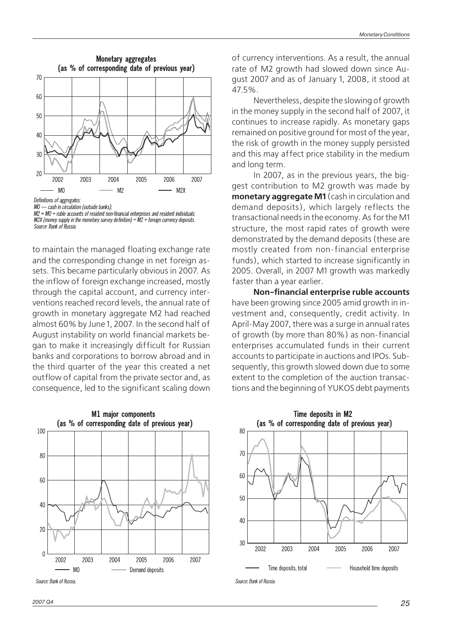

MO - cash in circulation (outside banks);

to maintain the managed floating exchange rate and the corresponding change in net foreign as sets. This became particularly obvious in 2007. As the inflow of foreign exchange increased, mostly through the capital account, and currency inter ventions reached record levels, the annual rate of growth in monetary aggregate M2 had reached almost 60% by June 1, 2007. In the second half of August instability on world financial markets be gan to make it increasingly difficult for Russian banks and corporations to borrow abroad and in the third quarter of the year this created a net outflow of capital from the private sector and, as consequence, led to the significant scaling down



Source: Bank of Russia

*2007 Q4 25*

of currency interventions. As a result, the annual rate of M2 growth had slowed down since Au gust 2007 and as of January 1, 2008, it stood at 47.5%.

Nevertheless, despite the slowing of growth in the money supply in the second half of 2007, it continues to increase rapidly. As monetary gaps remained on positive ground for most of the year, the risk of growth in the money supply persisted and this may affect price stability in the medium and long term.

In 2007, as in the previous years, the big gest contribution to M2 growth was made by **monetary aggregate M1** (cash in circulation and demand deposits), which largely reflects the transactional needs in the economy. As for the M1 structure, the most rapid rates of growth were demonstrated by the demand deposits (these are mostly created from non-financial enterprise funds), which started to increase significantly in 2005. Overall, in 2007 M1 growth was markedly faster than a year earlier.

**Non-financial enterprise ruble accounts** have been growing since 2005 amid growth in in vestment and, consequently, credit activity. In April-May 2007, there was a surge in annual rates of growth (by more than 80%) as non-financial enterprises accumulated funds in their current accounts to participate in auctions and IPOs. Sub sequently, this growth slowed down due to some extent to the completion of the auction transac tions and the beginning of YUKOS debt payments



 $M2 = MO + ruble accounts of resident non-financial enterories and resident individuals:$  $M2X$  (money supply in the monetary survey definition) =  $M2 +$  foreign currency deposits. Source: Bank of Russia.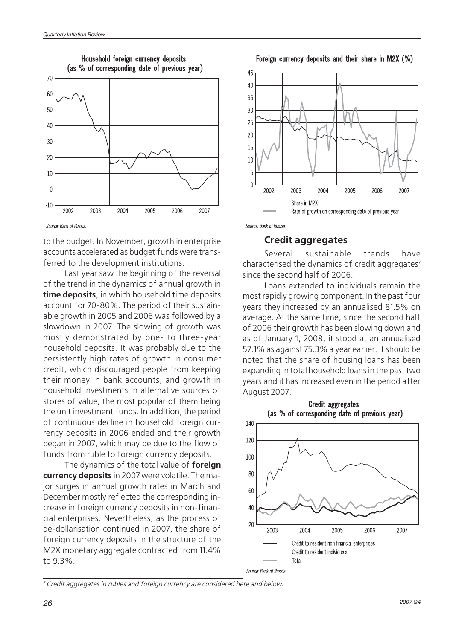<span id="page-27-0"></span>

Source: Bank of Russia.

to the budget. In November, growth in enterprise accounts accelerated as budget funds were trans ferred to the development institutions.

Last year saw the beginning of the reversal of the trend in the dynamics of annual growth in **time deposits**, in which household time deposits account for 70-80%. The period of their sustain able growth in 2005 and 2006 was followed by a slowdown in 2007. The slowing of growth was mostly demonstrated by one- to three-year household deposits. It was probably due to the persistently high rates of growth in consumer credit, which discouraged people from keeping their money in bank accounts, and growth in household investments in alternative sources of stores of value, the most popular of them being the unit investment funds. In addition, the period of continuous decline in household foreign cur rency deposits in 2006 ended and their growth began in 2007, which may be due to the flow of funds from ruble to foreign currency deposits.

The dynamics of the total value of **foreign currency deposits** in 2007 were volatile. The ma jor surges in annual growth rates in March and December mostly reflected the corresponding in crease in foreign currency deposits in non-finan cial enterprises. Nevertheless, as the process of de-dollarisation continued in 2007, the share of foreign currency deposits in the structure of the M2X monetary aggregate contracted from 11.4% to 9.3%.

Foreign currency deposits and their share in M2X (%)



Source: Bank of Russia

### **Credit aggregates**

Several sustainable trends have characterised the dynamics of credit aggregates<sup>7</sup> since the second half of 2006.

Loans extended to individuals remain the most rapidly growing component. In the past four years they increased by an annualised 81.5% on average. At the same time, since the second half of 2006 their growth has been slowing down and as of January 1, 2008, it stood at an annualised 57.1% as against 75.3% a year earlier. It should be noted that the share of housing loans has been expanding in total household loans in the past two years and it has increased even in the period after August 2007.



<sup>7</sup> Credit aggregates in rubles and foreign currency are considered here and below.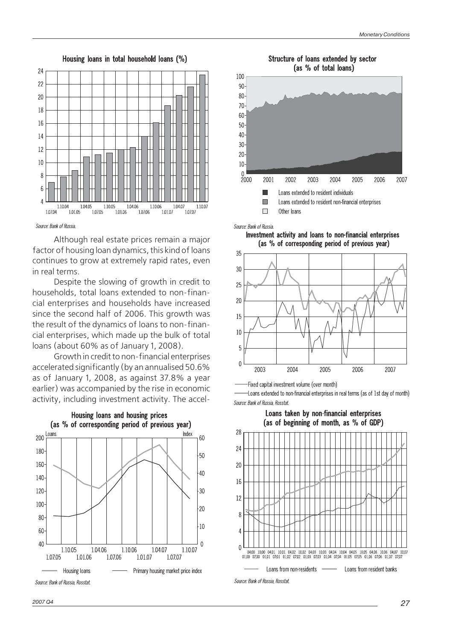

Source: Bank of Russia

Although real estate prices remain a major factor of housing loan dynamics, this kind of loans continues to grow at extremely rapid rates, even in real terms.

Despite the slowing of growth in credit to households, total loans extended to non-finan cial enterprises and households have increased since the second half of 2006. This growth was the result of the dynamics of loans to non-finan cial enterprises, which made up the bulk of total loans (about 60% as of January 1, 2008).

Growth in credit to non-financial enterprises accelerated significantly (by an annualised 50.6% as of January 1, 2008, as against 37.8% a year earlier) was accompanied by the rise in economic activity, including investment activity. The accel-



Structure of loans extended by sector (as % of total loans)



Source: Bank of Russia

Investment activity and loans to non-financial enterprises (as % of corresponding period of previous year)



-Fixed capital investment volume (over month)

-Loans extended to non-financial enterprises in real terms (as of 1st day of month) Source: Bank of Russia, Rosstat.

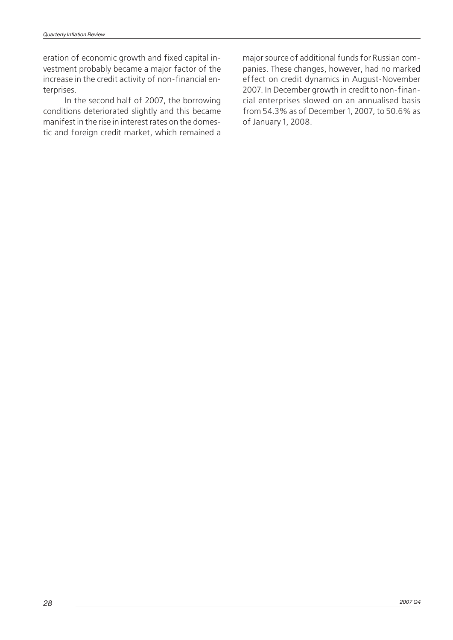eration of economic growth and fixed capital in vestment probably became a major factor of the increase in the credit activity of non-financial en terprises.

In the second half of 2007, the borrowing conditions deteriorated slightly and this became manifest in the rise in interest rates on the domes tic and foreign credit market, which remained a

major source of additional funds for Russian com panies. These changes, however, had no marked effect on credit dynamics in August-November 2007. In December growth in credit to non-finan cial enterprises slowed on an annualised basis from 54.3% as of December 1, 2007, to 50.6% as of January 1, 2008.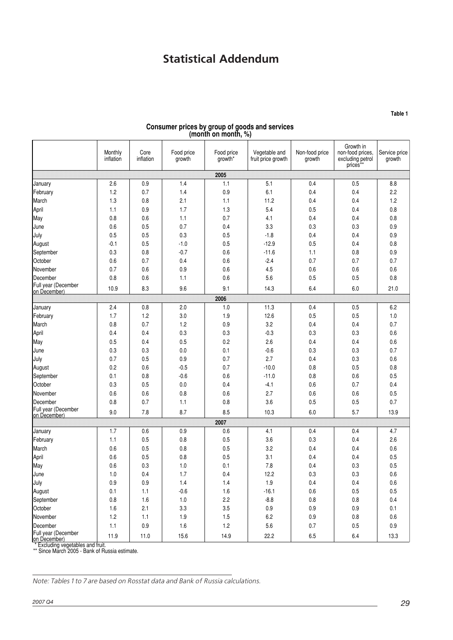# **Statistical Addendum**

<span id="page-30-0"></span>Monthly inflation Core inflation Food price growth Food price growth\* Vegetable and fruit price growth Non-food price growth Growth in non-food prices, excluding petrol prices\*\* Service price growth **2005** January 2.6 0.9 1.4 1.1 5.1 0.4 0.5 8.8 February 1.2 0.7 1.4 0.9 6.1 0.4 0.4 2.2 March 1.3 0.8 2.1 1.1 11.2 0.4 0.4 1.2 April 1.1 | 0.9 | 1.7 | 1.3 | 5.4 | 0.5 | 0.4 | 0.8 May | 0.8 | 0.6 | 1.1 | 0.7 | 4.1 | 0.4 | 0.8 June 0.6 0.5 0.7 0.4 3.3 0.3 0.3 0.9 July 0.5 0.5 0.3 0.5 -1.8 0.4 0.4 0.9 August -0.1 0.5 -1.0 0.5 -12.9 0.5 0.4 0.8 September 0.3 0.8 -0.7 0.6 -11.6 1.1 0.8 0.9 October 0.6 0.7 0.4 0.6 -2.4 0.7 0.7 0.7 November 0.7 0.6 0.9 0.6 4.5 0.6 0.6 0.6 December 0.8 0.6 1.1 0.6 5.6 0.5 0.5 0.8 Full year (December<br>on December) on December) 10.9 8.3 8.5 9.6 9.1 14.3 6.4 6.0 21.0 **2006** January | 2.4 | 0.8 | 2.0 | 1.0 | 11.3 | 0.4 | 0.5 | 6.2 February | 1.7 | 1.2 | 3.0 | 1.9 | 12.6 | 0.5 | 0.5 | 1.0 March 0.8 0.7 1.2 0.9 3.2 0.4 0.4 0.7 April 1910 | 0.4 | 0.4 | 0.3 | 0.3 | 0.3 | 0.3 | 0.3 | 0.6 May | 0.5 | 0.5 | 0.2 | 2.6 | 0.4 | 0.4 | 0.6 June 0.3 0.3 0.0 0.1 -0.6 0.3 0.3 0.7 July 0.7 0.5 0.9 0.7 2.7 0.4 0.3 0.6 August 0.2 0.6 -0.5 0.7 -10.0 0.8 0.5 0.8 September 0.1 0.8 -0.6 0.6 -11.0 0.8 0.6 0.5 October 0.3 0.5 0.0 0.4 -4.1 0.6 0.7 0.4 November 0.6 0.6 0.8 0.6 2.7 0.6 0.6 0.5 December 0.8 0.7 1.1 0.8 3.6 0.5 0.5 0.7 Full year (December<br>on December) on December) 9.0 7.8 8.7 8.5 10.3 6.0 5.7 13.9 **2007** January | 1.7 | 0.6 | 0.9 | 0.6 | 4.1 | 0.4 | 0.4 | 4.7 February | 1.1 | 0.5 | 0.8 | 0.5 | 3.6 | 0.3 | 0.4 | 2.6 March 0.6 0.5 0.8 0.5 3.2 0.4 0.4 0.6 April 1992 | 2006 | 2007 | 2008 | 2009 | 2014 | 2014 | 2015 | 2016 | 2017 | 2018 | 2019 | 2019 | 201 May | 0.6 | 0.3 | 1.0 | 0.1 | 7.8 | 0.4 | 0.3 | 0.5 June 1.0 0.4 1.7 0.4 12.2 0.3 0.3 0.6 July 0.9 0.9 1.4 1.4 1.9 0.4 0.4 0.6 August 0.1 1.1 -0.6 1.6 -16.1 0.6 0.5 0.5 September 0.8 1.6 1.0 2.2 -8.8 0.8 0.8 0.4 October 1.6 2.1 3.3 3.5 0.9 0.9 0.9 0.1 November 1.2 1.1 1.9 1.5 6.2 0.9 0.8 0.6 December 1.1 0.9 1.6 1.2 5.6 0.7 0.5 0.9 Full year (December Furry eta (December) 11.9 | 11.0 | 15.6 | 14.9 | 22.2 | 6.5 | 6.4 | 13.3<br>Con December) 11.9 | 11.0 | 15.6 | 14.9 | 22.2 | 6.5 | 6.4 | 13.3

#### **Consumer prices by group of goods and services (month on month, %)**

\*\* Since March 2005 - Bank of Russia estimate.

Note: Tables 1 to 7 are based on Rosstat data and Bank of Russia calculations.

**Table 1**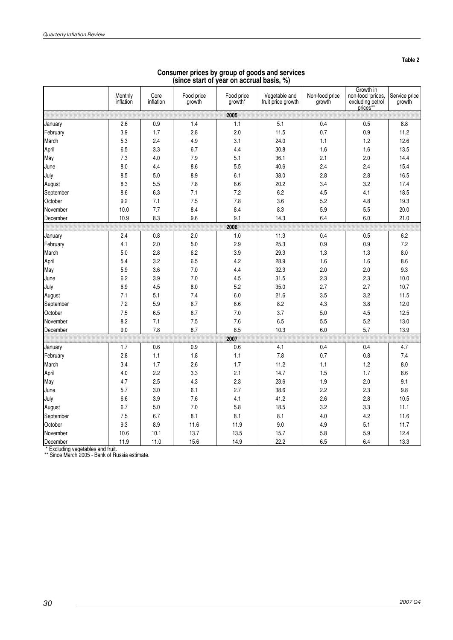$\ddot{\phantom{0}}$ 

|           | Monthly<br>inflation | Core<br>inflation | Food price<br>growth | Food price<br>growth* | Vegetable and<br>fruit price growth | Non-food price<br>growth | Growth in<br>non-food prices,<br>excluding petrol<br>prices** | Service price<br>growth |
|-----------|----------------------|-------------------|----------------------|-----------------------|-------------------------------------|--------------------------|---------------------------------------------------------------|-------------------------|
|           |                      |                   |                      | 2005                  |                                     |                          |                                                               |                         |
| January   | 2.6                  | 0.9               | 1.4                  | 1.1                   | 5.1                                 | 0.4                      | 0.5                                                           | 8.8                     |
| February  | 3.9                  | 1.7               | 2.8                  | 2.0                   | 11.5                                | 0.7                      | 0.9                                                           | 11.2                    |
| March     | 5.3                  | 2.4               | 4.9                  | 3.1                   | 24.0                                | 1.1                      | 1.2                                                           | 12.6                    |
| April     | 6.5                  | 3.3               | 6.7                  | 4.4                   | 30.8                                | 1.6                      | 1.6                                                           | 13.5                    |
| May       | 7.3                  | 4.0               | 7.9                  | 5.1                   | 36.1                                | 2.1                      | 2.0                                                           | 14.4                    |
| June      | 8.0                  | 4.4               | 8.6                  | 5.5                   | 40.6                                | 2.4                      | 2.4                                                           | 15.4                    |
| July      | 8.5                  | 5.0               | 8.9                  | 6.1                   | 38.0                                | 2.8                      | 2.8                                                           | 16.5                    |
| August    | 8.3                  | 5.5               | 7.8                  | 6.6                   | 20.2                                | 3.4                      | 3.2                                                           | 17.4                    |
| September | 8.6                  | 6.3               | 7.1                  | 7.2                   | 6.2                                 | 4.5                      | 4.1                                                           | 18.5                    |
| October   | 9.2                  | 7.1               | 7.5                  | 7.8                   | 3.6                                 | 5.2                      | 4.8                                                           | 19.3                    |
| November  | 10.0                 | 7.7               | 8.4                  | 8.4                   | 8.3                                 | 5.9                      | 5.5                                                           | 20.0                    |
| December  | 10.9                 | 8.3               | 9.6                  | 9.1                   | 14.3                                | 6.4                      | 6.0                                                           | 21.0                    |
|           |                      |                   |                      | 2006                  |                                     |                          |                                                               |                         |
| January   | 2.4                  | 0.8               | 2.0                  | 1.0                   | 11.3                                | 0.4                      | 0.5                                                           | 6.2                     |
| February  | 4.1                  | 2.0               | 5.0                  | 2.9                   | 25.3                                | 0.9                      | 0.9                                                           | 7.2                     |
| March     | 5.0                  | 2.8               | 6.2                  | 3.9                   | 29.3                                | 1.3                      | 1.3                                                           | 8.0                     |
| April     | 5.4                  | 3.2               | 6.5                  | 4.2                   | 28.9                                | 1.6                      | 1.6                                                           | 8.6                     |
| May       | 5.9                  | 3.6               | 7.0                  | 4.4                   | 32.3                                | 2.0                      | 2.0                                                           | 9.3                     |
| June      | 6.2                  | 3.9               | 7.0                  | 4.5                   | 31.5                                | 2.3                      | 2.3                                                           | 10.0                    |
| July      | 6.9                  | 4.5               | 8.0                  | 5.2                   | 35.0                                | 2.7                      | 2.7                                                           | 10.7                    |
| August    | 7.1                  | 5.1               | 7.4                  | 6.0                   | 21.6                                | 3.5                      | 3.2                                                           | 11.5                    |
| September | 7.2                  | 5.9               | 6.7                  | 6.6                   | 8.2                                 | 4.3                      | 3.8                                                           | 12.0                    |
| October   | 7.5                  | 6.5               | 6.7                  | 7.0                   | 3.7                                 | 5.0                      | 4.5                                                           | 12.5                    |
| November  | 8.2                  | 7.1               | 7.5                  | 7.6                   | 6.5                                 | 5.5                      | 5.2                                                           | 13.0                    |
| December  | 9.0                  | 7.8               | 8.7                  | 8.5                   | 10.3                                | 6.0                      | 5.7                                                           | 13.9                    |
|           |                      |                   |                      | 2007                  |                                     |                          |                                                               |                         |
| January   | 1.7                  | 0.6               | 0.9                  | 0.6                   | 4.1                                 | 0.4                      | 0.4                                                           | 4.7                     |
| February  | 2.8                  | 1.1               | 1.8                  | 1.1                   | 7.8                                 | 0.7                      | 0.8                                                           | 7.4                     |
| March     | 3.4                  | 1.7               | 2.6                  | 1.7                   | 11.2                                | 1.1                      | 1.2                                                           | 8.0                     |
| April     | 4.0                  | 2.2               | 3.3                  | 2.1                   | 14.7                                | 1.5                      | 1.7                                                           | 8.6                     |
| May       | 4.7                  | 2.5               | 4.3                  | 2.3                   | 23.6                                | 1.9                      | 2.0                                                           | 9.1                     |
| June      | 5.7                  | 3.0               | 6.1                  | 2.7                   | 38.6                                | 2.2                      | 2.3                                                           | 9.8                     |
| July      | 6.6                  | 3.9               | 7.6                  | 4.1                   | 41.2                                | 2.6                      | 2.8                                                           | 10.5                    |
| August    | 6.7                  | 5.0               | 7.0                  | 5.8                   | 18.5                                | 3.2                      | 3.3                                                           | 11.1                    |
| September | 7.5                  | 6.7               | 8.1                  | 8.1                   | 8.1                                 | 4.0                      | 4.2                                                           | 11.6                    |
| October   | 9.3                  | 8.9               | 11.6                 | 11.9                  | 9.0                                 | 4.9                      | 5.1                                                           | 11.7                    |
| November  | 10.6                 | 10.1              | 13.7                 | 13.5                  | 15.7                                | 5.8                      | 5.9                                                           | 12.4                    |
| December  | 11.9                 | 11.0              | 15.6                 | 14.9                  | 22.2                                | 6.5                      | 6.4                                                           | 13.3                    |

#### **Consumer prices by group of goods and services (since start of year on accrual basis, %)**

\* Excluding vegetables and fruit. \*\* Since March 2005 - Bank of Russia estimate.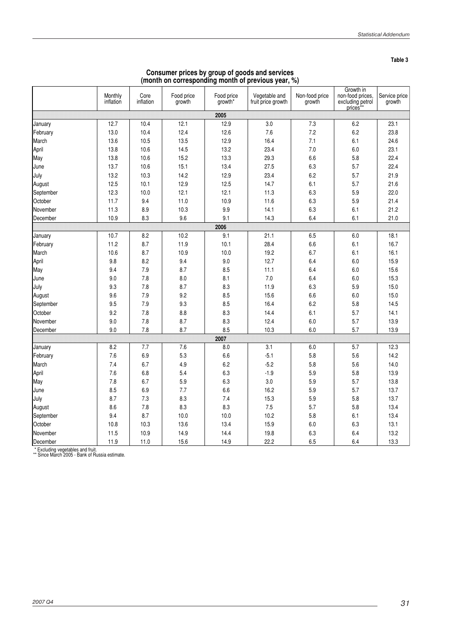**Table 3**

| Consumer prices by group of goods and services     |  |  |  |
|----------------------------------------------------|--|--|--|
| (month on corresponding month of previous year, %) |  |  |  |

|           | Monthly<br>inflation | Core<br>inflation | Food price<br>growth | Food price<br>growth* | Vegetable and<br>fruit price growth | Non-food price<br>growth | Growth in<br>non-food prices,<br>excluding petrol<br>prices <sup>*</sup> | Service price<br>growth |
|-----------|----------------------|-------------------|----------------------|-----------------------|-------------------------------------|--------------------------|--------------------------------------------------------------------------|-------------------------|
|           |                      |                   |                      | 2005                  |                                     |                          |                                                                          |                         |
| January   | 12.7                 | 10.4              | 12.1                 | 12.9                  | 3.0                                 | 7.3                      | 6.2                                                                      | 23.1                    |
| February  | 13.0                 | 10.4              | 12.4                 | 12.6                  | 7.6                                 | 7.2                      | 6.2                                                                      | 23.8                    |
| March     | 13.6                 | 10.5              | 13.5                 | 12.9                  | 16.4                                | 7.1                      | 6.1                                                                      | 24.6                    |
| April     | 13.8                 | 10.6              | 14.5                 | 13.2                  | 23.4                                | 7.0                      | 6.0                                                                      | 23.1                    |
| May       | 13.8                 | 10.6              | 15.2                 | 13.3                  | 29.3                                | 6.6                      | 5.8                                                                      | 22.4                    |
| June      | 13.7                 | 10.6              | 15.1                 | 13.4                  | 27.5                                | 6.3                      | 5.7                                                                      | 22.4                    |
| July      | 13.2                 | 10.3              | 14.2                 | 12.9                  | 23.4                                | 6.2                      | 5.7                                                                      | 21.9                    |
| August    | 12.5                 | 10.1              | 12.9                 | 12.5                  | 14.7                                | 6.1                      | 5.7                                                                      | 21.6                    |
| September | 12.3                 | 10.0              | 12.1                 | 12.1                  | 11.3                                | 6.3                      | 5.9                                                                      | 22.0                    |
| October   | 11.7                 | 9.4               | 11.0                 | 10.9                  | 11.6                                | 6.3                      | 5.9                                                                      | 21.4                    |
| November  | 11.3                 | 8.9               | 10.3                 | 9.9                   | 14.1                                | 6.3                      | 6.1                                                                      | 21.2                    |
| December  | 10.9                 | 8.3               | 9.6                  | 9.1                   | 14.3                                | 6.4                      | 6.1                                                                      | 21.0                    |
|           |                      |                   |                      | 2006                  |                                     |                          |                                                                          |                         |
| January   | 10.7                 | 8.2               | 10.2                 | 9.1                   | 21.1                                | 6.5                      | 6.0                                                                      | 18.1                    |
| February  | 11.2                 | 8.7               | 11.9                 | 10.1                  | 28.4                                | 6.6                      | 6.1                                                                      | 16.7                    |
| March     | 10.6                 | 8.7               | 10.9                 | 10.0                  | 19.2                                | 6.7                      | 6.1                                                                      | 16.1                    |
| April     | 9.8                  | 8.2               | 9.4                  | 9.0                   | 12.7                                | 6.4                      | 6.0                                                                      | 15.9                    |
| May       | 9.4                  | 7.9               | 8.7                  | 8.5                   | 11.1                                | 6.4                      | 6.0                                                                      | 15.6                    |
| June      | 9.0                  | 7.8               | 8.0                  | 8.1                   | 7.0                                 | 6.4                      | 6.0                                                                      | 15.3                    |
| July      | 9.3                  | 7.8               | 8.7                  | 8.3                   | 11.9                                | 6.3                      | 5.9                                                                      | 15.0                    |
| August    | 9.6                  | 7.9               | 9.2                  | 8.5                   | 15.6                                | 6.6                      | 6.0                                                                      | 15.0                    |
| September | 9.5                  | 7.9               | 9.3                  | 8.5                   | 16.4                                | 6.2                      | 5.8                                                                      | 14.5                    |
| October   | 9.2                  | 7.8               | 8.8                  | 8.3                   | 14.4                                | 6.1                      | 5.7                                                                      | 14.1                    |
| November  | 9.0                  | 7.8               | 8.7                  | 8.3                   | 12.4                                | 6.0                      | 5.7                                                                      | 13.9                    |
| December  | 9.0                  | 7.8               | 8.7                  | 8.5                   | 10.3                                | 6.0                      | 5.7                                                                      | 13.9                    |
|           |                      |                   |                      | 2007                  |                                     |                          |                                                                          |                         |
| January   | 8.2                  | 7.7               | 7.6                  | 8.0                   | 3.1                                 | 6.0                      | 5.7                                                                      | 12.3                    |
| February  | 7.6                  | 6.9               | 5.3                  | 6.6                   | $-5.1$                              | 5.8                      | 5.6                                                                      | 14.2                    |
| March     | 7.4                  | 6.7               | 4.9                  | 6.2                   | $-5.2$                              | 5.8                      | 5.6                                                                      | 14.0                    |
| April     | 7.6                  | 6.8               | 5.4                  | 6.3                   | $-1.9$                              | 5.9                      | 5.8                                                                      | 13.9                    |
| May       | 7.8                  | 6.7               | 5.9                  | 6.3                   | 3.0                                 | 5.9                      | 5.7                                                                      | 13.8                    |
| June      | 8.5                  | 6.9               | 7.7                  | 6.6                   | 16.2                                | 5.9                      | 5.7                                                                      | 13.7                    |
| July      | 8.7                  | 7.3               | 8.3                  | 7.4                   | 15.3                                | 5.9                      | 5.8                                                                      | 13.7                    |
| August    | 8.6                  | 7.8               | 8.3                  | 8.3                   | 7.5                                 | 5.7                      | 5.8                                                                      | 13.4                    |
| September | 9.4                  | 8.7               | 10.0                 | 10.0                  | 10.2                                | 5.8                      | 6.1                                                                      | 13.4                    |
| October   | 10.8                 | 10.3              | 13.6                 | 13.4                  | 15.9                                | 6.0                      | 6.3                                                                      | 13.1                    |
| November  | 11.5                 | 10.9              | 14.9                 | 14.4                  | 19.8                                | 6.3                      | 6.4                                                                      | 13.2                    |
| December  | 11.9                 | 11.0              | 15.6                 | 14.9                  | 22.2                                | 6.5                      | 6.4                                                                      | 13.3                    |

\* Excluding vegetables and fruit. \*\* Since March 2005 - Bank of Russia estimate.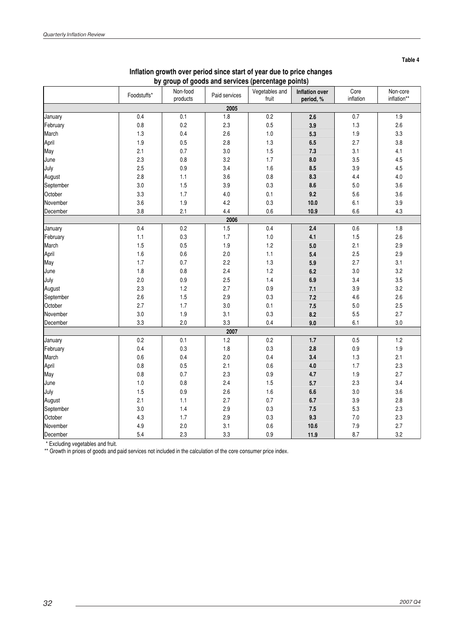|           | Foodstuffs* | Non-food<br>products | Paid services | Vegetables and<br>fruit | Inflation over<br>period, % | Core<br>inflation | Non-core<br>inflation** |
|-----------|-------------|----------------------|---------------|-------------------------|-----------------------------|-------------------|-------------------------|
|           |             |                      | 2005          |                         |                             |                   |                         |
| January   | 0.4         | 0.1                  | 1.8           | 0.2                     | 26                          | 0.7               | 1.9                     |
| February  | $0.8\,$     | 0.2                  | 2.3           | 0.5                     | 39                          | 1.3               | 2.6                     |
| March     | 1.3         | 0.4                  | 2.6           | 1.0                     | 5.3                         | 1.9               | 3.3                     |
| April     | 1.9         | 0.5                  | 2.8           | 1.3                     | 6.5                         | 2.7               | 3.8                     |
| May       | 2.1         | 0.7                  | 3.0           | 1.5                     | 73                          | 3.1               | 4.1                     |
| June      | 2.3         | 0.8                  | 3.2           | 1.7                     | 80                          | 3.5               | 4.5                     |
| July      | 2.5         | 0.9                  | 3.4           | 1.6                     | 8.5                         | 3.9               | 4.5                     |
| August    | 2.8         | 1.1                  | 3.6           | 0.8                     | 83                          | 4.4               | $4.0$                   |
| September | 3.0         | 1.5                  | 3.9           | 0.3                     | 8.6                         | 5.0               | 3.6                     |
| October   | 3.3         | 1.7                  | 4.0           | 0.1                     | 9.2                         | 5.6               | 3.6                     |
| November  | 3.6         | 1.9                  | 4.2           | 0.3                     | 10.0                        | 6.1               | 3.9                     |
| December  | 3.8         | 2.1                  | 4.4           | 0.6                     | 10.9                        | 6.6               | 4.3                     |
|           |             |                      | 2006          |                         |                             |                   |                         |
| January   | 0.4         | 0.2                  | 1.5           | 0.4                     | 2.4                         | 0.6               | 1.8                     |
| February  | 1.1         | 0.3                  | 1.7           | $1.0$                   | 41                          | 1.5               | 2.6                     |
| March     | 1.5         | 0.5                  | 1.9           | 1.2                     | 5.0                         | 2.1               | 2.9                     |
| April     | 1.6         | $0.6\,$              | 2.0           | 1.1                     | 5.4                         | 2.5               | 2.9                     |
| May       | 1.7         | 0.7                  | 2.2           | 1.3                     | 5.9                         | 2.7               | 3.1                     |
| June      | 1.8         | $0.8\,$              | 2.4           | 1.2                     | 6.2                         | 3.0               | 3.2                     |
| July      | 2.0         | 0.9                  | 2.5           | 1.4                     | 6.9                         | 3.4               | 3.5                     |
| August    | 2.3         | 1.2                  | 2.7           | 0.9                     | $\overline{11}$             | 3.9               | 3.2                     |
| September | 2.6         | 1.5                  | 2.9           | 0.3                     | 72                          | 4.6               | 2.6                     |
| October   | 2.7         | 1.7                  | 3.0           | 0.1                     | 75                          | $5.0\,$           | 2.5                     |
| November  | 3.0         | 1.9                  | 3.1           | 0.3                     | 8.2                         | 5.5               | 2.7                     |
| December  | 3.3         | 2.0                  | 3.3           | 0.4                     | 90                          | 6.1               | 3.0                     |
|           |             |                      | 2007          |                         |                             |                   |                         |
| January   | 0.2         | 0.1                  | 1.2           | 0.2                     | $\overline{11}$             | 0.5               | 1.2                     |
| February  | 0.4         | 0.3                  | 1.8           | 0.3                     | 2.8                         | $0.9\,$           | 1.9                     |
| March     | 0.6         | 0.4                  | 2.0           | 0.4                     | 3.4                         | 1.3               | 2.1                     |
| April     | 0.8         | 0.5                  | 2.1           | 0.6                     | 4.0                         | 1.7               | 2.3                     |
| May       | $0.8\,$     | 0.7                  | 2.3           | 0.9                     | 47                          | 1.9               | 2.7                     |
| June      | $1.0$       | $0.8\,$              | 2.4           | 1.5                     | 5.7                         | 2.3               | 3.4                     |
| July      | 1.5         | 0.9                  | 2.6           | 1.6                     | 6.6                         | 3.0               | 3.6                     |
| August    | 2.1         | 1.1                  | 2.7           | 0.7                     | 67                          | 3.9               | 2.8                     |
| September | 3.0         | 1.4                  | 2.9           | 0.3                     | 75                          | 5.3               | 2.3                     |
| October   | 4.3         | 1.7                  | 2.9           | 0.3                     | 93                          | 7.0               | 2.3                     |
| November  | 4.9         | 2.0                  | 3.1           | 0.6                     | 10.6                        | 7.9               | 2.7                     |
| December  | 5.4         | 2.3                  | 3.3           | 0.9                     | 11.9                        | 8.7               | 3.2                     |

### **Inflation growth over period since start of year due to price changes by group of goods and services (percentage points)**

\* Excluding vegetables and fruit.

\*\* Growth in prices of goods and paid services not included in the calculation of the core consumer price index.

**Table 4**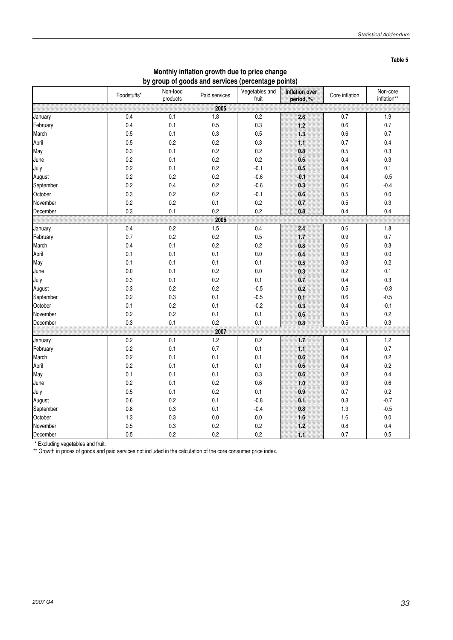| ×<br>٠<br>۰.<br>I<br>٠ |  |
|------------------------|--|
|------------------------|--|

|                     |             |                      |               | ັ                       |                             |                |                         |
|---------------------|-------------|----------------------|---------------|-------------------------|-----------------------------|----------------|-------------------------|
|                     | Foodstuffs* | Non-food<br>products | Paid services | Vegetables and<br>fruit | Inflation over<br>period, % | Core inflation | Non-core<br>inflation** |
|                     |             |                      | 2005          |                         |                             |                |                         |
| January             | 0.4         | 0.1                  | 1.8           | $0.2\,$                 | 2.6                         | 0.7            | $1.9$                   |
| February            | 0.4         | 0.1                  | 0.5           | 0.3                     | 12                          | $0.6\,$        | 0.7                     |
| March               | 0.5         | 0.1                  | 0.3           | 0.5                     | 13                          | $0.6\,$        | 0.7                     |
| April               | 0.5         | 0.2                  | 0.2           | 0.3                     | Ħ                           | 0.7            | 0.4                     |
| May                 | 0.3         | 0.1                  | 0.2           | 0.2                     | 0.8                         | 0.5            | 0.3                     |
| June                | 0.2         | 0.1                  | 0.2           | $0.2\,$                 | 0.6                         | 0.4            | 0.3                     |
| July                | 0.2         | 0.1                  | 0.2           | $-0.1$                  | 0.5                         | 0.4            | 0.1                     |
|                     | 0.2         | 0.2                  | 0.2           | $-0.6$                  |                             | 0.4            | $-0.5$                  |
| August<br>September |             | 0.4                  | 0.2           |                         | -0.1                        |                |                         |
|                     | 0.2         |                      |               | $-0.6$                  | 0.3                         | $0.6\,$        | $-0.4$                  |
| October             | $0.3\,$     | 0.2                  | 0.2           | $-0.1$                  | $0.6\,$                     | 0.5            | $0.0\,$                 |
| November            | 0.2         | 0.2                  | 0.1           | $0.2\,$                 | 0.7                         | 0.5            | 0.3                     |
| December            | 0.3         | 0.1                  | 0.2           | 0.2                     | 0.8                         | 0.4            | 0.4                     |
|                     |             |                      | 2006          |                         |                             |                |                         |
| January             | 0.4         | 0.2                  | 1.5           | 0.4                     | $2.4\,$                     | 0.6            | 1.8                     |
| February            | 0.7         | 0.2                  | $0.2\,$       | 0.5                     | $\mathbf{u}$                | 0.9            | $0.7\,$                 |
| March               | 0.4         | 0.1                  | $0.2\,$       | 0.2                     | $0.8\,$                     | 0.6            | 0.3                     |
| April               | 0.1         | 0.1                  | 0.1           | $0.0\,$                 | $0.4\,$                     | $0.3\,$        | $0.0\,$                 |
| May                 | 0.1         | 0.1                  | 0.1           | 0.1                     | 0.5                         | 0.3            | 0.2                     |
| June                | 0.0         | 0.1                  | 0.2           | 0.0                     | 0.3                         | 0.2            | 0.1                     |
| July                | 0.3         | 0.1                  | 0.2           | 0.1                     | 0.7                         | 0.4            | 0.3                     |
| August              | $0.3\,$     | 0.2                  | $0.2\,$       | $-0.5$                  | $0.2\,$                     | 0.5            | $-0.3$                  |
| September           | 0.2         | $0.3\,$              | 0.1           | $-0.5$                  | 0.1                         | $0.6\,$        | $-0.5$                  |
| October             | 0.1         | 0.2                  | 0.1           | $-0.2$                  | 0.3                         | 0.4            | $-0.1$                  |
| November            | 0.2         | 0.2                  | 0.1           | 0.1                     | 0.6                         | 0.5            | 0.2                     |
| December            | 0.3         | 0.1                  | 0.2           | 0.1                     | 0.8                         | 0.5            | 0.3                     |
|                     |             |                      | 2007          |                         |                             |                |                         |
| January             | 0.2         | $0.1\,$              | $1.2\,$       | $0.2\,$                 | $\mathbf{1}$                | 0.5            | $1.2\,$                 |
| February            | 0.2         | $0.1\,$              | 0.7           | 0.1                     | u                           | 0.4            | 0.7                     |
| March               | 0.2         | 0.1                  | 0.1           | 0.1                     | 0.6                         | 0.4            | 0.2                     |
| April               | 0.2         | 0.1                  | 0.1           | 0.1                     | 0.6                         | 0.4            | 0.2                     |
| May                 | 0.1         | 0.1                  | 0.1           | 0.3                     | $0.6\,$                     | 0.2            | 0.4                     |
| June                | 0.2         | 0.1                  | 0.2           | 0.6                     | 10                          | $0.3\,$        | 0.6                     |
| July                | 0.5         | 0.1                  | 0.2           | 0.1                     | 0.9                         | 0.7            | 0.2                     |
| August              | $0.6\,$     | 0.2                  | 0.1           | $-0.8$                  | 0.1                         | 0.8            | $-0.7$                  |
| September           | $0.8\,$     | $0.3\,$              | 0.1           | $-0.4$                  | 0.8                         | 1.3            | $-0.5$                  |
| October             | 1.3         | 0.3                  | 0.0           | $0.0\,$                 | 16                          | $1.6\,$        | $0.0\,$                 |
| November            | 0.5         | 0.3                  | 0.2           | 0.2                     | 12                          | 0.8            | 0.4                     |
| December            | 0.5         | 0.2                  | 0.2           | 0.2                     | M                           | 0.7            | 0.5                     |

#### **Monthly inflation growth due to price change by group of goods and services (percentage points)**

\* Excluding vegetables and fruit.

\*\* Growth in prices of goods and paid services not included in the calculation of the core consumer price index.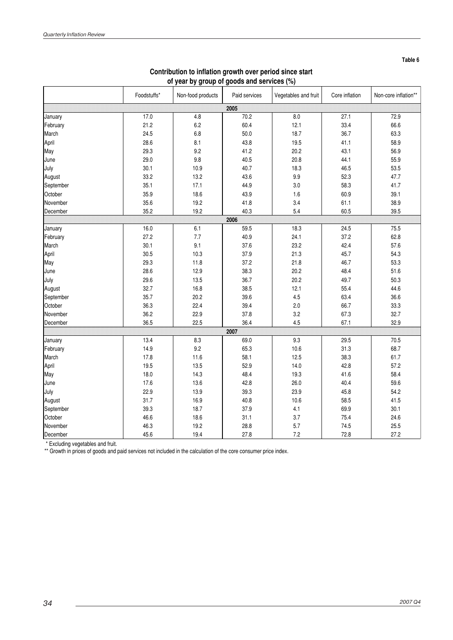|           | Foodstuffs* | Non-food products | Paid services | Vegetables and fruit | Core inflation | Non-core inflation** |
|-----------|-------------|-------------------|---------------|----------------------|----------------|----------------------|
|           |             |                   | 2005          |                      |                |                      |
| January   | 17.0        | 4.8               | 70.2          | 8.0                  | 27.1           | 72.9                 |
| February  | 21.2        | 6.2               | 60.4          | 12.1                 | 33.4           | 66.6                 |
| March     | 24.5        | 6.8               | 50.0          | 18.7                 | 36.7           | 63.3                 |
| April     | 28.6        | 8.1               | 43.8          | 19.5                 | 41.1           | 58.9                 |
| May       | 29.3        | 9.2               | 41.2          | 20.2                 | 43.1           | 56.9                 |
| June      | 29.0        | 9.8               | 40.5          | 20.8                 | 44.1           | 55.9                 |
| July      | 30.1        | 10.9              | 40.7          | 18.3                 | 46.5           | 53.5                 |
| August    | 33.2        | 13.2              | 43.6          | 9.9                  | 52.3           | 47.7                 |
| September | 35.1        | 17.1              | 44.9          | 3.0                  | 58.3           | 41.7                 |
| October   | 35.9        | 18.6              | 43.9          | 1.6                  | 60.9           | 39.1                 |
| November  | 35.6        | 19.2              | 41.8          | 3.4                  | 61.1           | 38.9                 |
| December  | 35.2        | 19.2              | 40.3          | 5.4                  | 60.5           | 39.5                 |
|           |             |                   | 2006          |                      |                |                      |
| January   | 16.0        | 6.1               | 59.5          | 18.3                 | 24.5           | 75.5                 |
| February  | 27.2        | 7.7               | 40.9          | 24.1                 | 37.2           | 62.8                 |
| March     | 30.1        | 9.1               | 37.6          | 23.2                 | 42.4           | 57.6                 |
| April     | 30.5        | 10.3              | 37.9          | 21.3                 | 45.7           | 54.3                 |
| May       | 29.3        | 11.8              | 37.2          | 21.8                 | 46.7           | 53.3                 |
| June      | 28.6        | 12.9              | 38.3          | 20.2                 | 48.4           | 51.6                 |
| July      | 29.6        | 13.5              | 36.7          | 20.2                 | 49.7           | 50.3                 |
| August    | 32.7        | 16.8              | 38.5          | 12.1                 | 55.4           | 44.6                 |
| September | 35.7        | 20.2              | 39.6          | 4.5                  | 63.4           | 36.6                 |
| October   | 36.3        | 22.4              | 39.4          | 2.0                  | 66.7           | 33.3                 |
| November  | 36.2        | 22.9              | 37.8          | 3.2                  | 67.3           | 32.7                 |
| December  | 36.5        | 22.5              | 36.4          | 4.5                  | 67.1           | 32.9                 |
|           |             |                   | 2007          |                      |                |                      |
| January   | 13.4        | 8.3               | 69.0          | 9.3                  | 29.5           | 70.5                 |
| February  | 14.9        | 9.2               | 65.3          | 10.6                 | 31.3           | 68.7                 |
| March     | 17.8        | 11.6              | 58.1          | 12.5                 | 38.3           | 61.7                 |
| April     | 19.5        | 13.5              | 52.9          | 14.0                 | 42.8           | 57.2                 |
| May       | 18.0        | 14.3              | 48.4          | 19.3                 | 41.6           | 58.4                 |
| June      | 17.6        | 13.6              | 42.8          | 26.0                 | 40.4           | 59.6                 |
| July      | 22.9        | 13.9              | 39.3          | 23.9                 | 45.8           | 54.2                 |
| August    | 31.7        | 16.9              | 40.8          | 10.6                 | 58.5           | 41.5                 |
| September | 39.3        | 18.7              | 37.9          | 4.1                  | 69.9           | 30.1                 |
| October   | 46.6        | 18.6              | 31.1          | 3.7                  | 75.4           | 24.6                 |
| November  | 46.3        | 19.2              | 28.8          | 5.7                  | 74.5           | 25.5                 |
| December  | 45.6        | 19.4              | 27.8          | 7.2                  | 72.8           | 27.2                 |

### **Contribution to inflation growth over period since start of year by group of goods and services (%)**

\* Excluding vegetables and fruit.

\*\* Growth in prices of goods and paid services not included in the calculation of the core consumer price index.

**Table 6**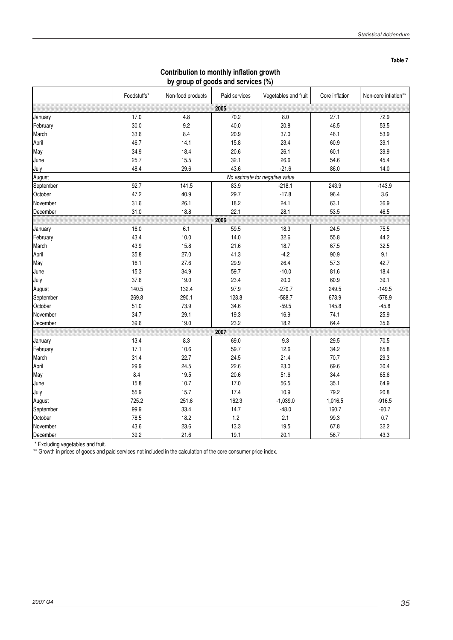**Table 7**

| by group of goods and services (%) |             |                   |                                |                      |                |                      |  |  |
|------------------------------------|-------------|-------------------|--------------------------------|----------------------|----------------|----------------------|--|--|
|                                    | Foodstuffs* | Non-food products | Paid services                  | Vegetables and fruit | Core inflation | Non-core inflation** |  |  |
|                                    |             |                   | 2005                           |                      |                |                      |  |  |
| January                            | 17.0        | 4.8               | 70.2                           | 8.0                  | 27.1           | 72.9                 |  |  |
| February                           | 30.0        | 9.2               | 40.0                           | 20.8                 | 46.5           | 53.5                 |  |  |
| March                              | 33.6        | 8.4               | 20.9                           | 37.0                 | 46.1           | 53.9                 |  |  |
| April                              | 46.7        | 14.1              | 15.8                           | 23.4                 | 60.9           | 39.1                 |  |  |
| May                                | 34.9        | 18.4              | 20.6                           | 26.1                 | 60.1           | 39.9                 |  |  |
| June                               | 25.7        | 15.5              | 32.1                           | 26.6                 | 54.6           | 45.4                 |  |  |
| July                               | 48.4        | 29.6              | 43.6                           | $-21.6$              | 86.0           | 14.0                 |  |  |
| August                             |             |                   | No estimate for negative value |                      |                |                      |  |  |
| September                          | 92.7        | 141.5             | 83.9                           | $-218.1$             | 243.9          | $-143.9$             |  |  |
| October                            | 47.2        | 40.9              | 29.7                           | $-17.8$              | 96.4           | 3.6                  |  |  |
| November                           | 31.6        | 26.1              | 18.2                           | 24.1                 | 63.1           | 36.9                 |  |  |
| December                           | 31.0        | 18.8              | 22.1                           | 28.1                 | 53.5           | 46.5                 |  |  |
|                                    |             |                   | 2006                           |                      |                |                      |  |  |
| January                            | 16.0        | 6.1               | 59.5                           | 18.3                 | 24.5           | 75.5                 |  |  |
| February                           | 43.4        | 10.0              | 14.0                           | 32.6                 | 55.8           | 44.2                 |  |  |
| March                              | 43.9        | 15.8              | 21.6                           | 18.7                 | 67.5           | 32.5                 |  |  |
| April                              | 35.8        | 27.0              | 41.3                           | $-4.2$               | 90.9           | 9.1                  |  |  |
| May                                | 16.1        | 27.6              | 29.9                           | 26.4                 | 57.3           | 42.7                 |  |  |
| June                               | 15.3        | 34.9              | 59.7                           | $-10.0$              | 81.6           | 18.4                 |  |  |
| July                               | 37.6        | 19.0              | 23.4                           | 20.0                 | 60.9           | 39.1                 |  |  |
| August                             | 140.5       | 132.4             | 97.9                           | $-270.7$             | 249.5          | $-149.5$             |  |  |
| September                          | 269.8       | 290.1             | 128.8                          | $-588.7$             | 678.9          | $-578.9$             |  |  |
| October                            | 51.0        | 73.9              | 34.6                           | $-59.5$              | 145.8          | $-45.8$              |  |  |
| November                           | 34.7        | 29.1              | 19.3                           | 16.9                 | 74.1           | 25.9                 |  |  |
| December                           | 39.6        | 19.0              | 23.2                           | 18.2                 | 64.4           | 35.6                 |  |  |
|                                    |             |                   | 2007                           |                      |                |                      |  |  |
| January                            | 13.4        | 8.3               | 69.0                           | 9.3                  | 29.5           | 70.5                 |  |  |
| February                           | 17.1        | 10.6              | 59.7                           | 12.6                 | 34.2           | 65.8                 |  |  |
| March                              | 31.4        | 22.7              | 24.5                           | 21.4                 | 70.7           | 29.3                 |  |  |
| April                              | 29.9        | 24.5              | 22.6                           | 23.0                 | 69.6           | 30.4                 |  |  |
| May                                | 8.4         | 19.5              | 20.6                           | 51.6                 | 34.4           | 65.6                 |  |  |
| June                               | 15.8        | 10.7              | 17.0                           | 56.5                 | 35.1           | 64.9                 |  |  |
| July                               | 55.9        | 15.7              | 17.4                           | 10.9                 | 79.2           | 20.8                 |  |  |
| August                             | 725.2       | 251.6             | 162.3                          | $-1,039.0$           | 1,016.5        | $-916.5$             |  |  |
| September                          | 99.9        | 33.4              | 14.7                           | $-48.0$              | 160.7          | $-60.7$              |  |  |
| October                            | 78.5        | 18.2              | 1.2                            | 2.1                  | 99.3           | 0.7                  |  |  |
| November                           | 43.6        | 23.6              | 13.3                           | 19.5                 | 67.8           | 32.2                 |  |  |
| December                           | 39.2        | 21.6              | 19.1                           | 20.1                 | 56.7           | 43.3                 |  |  |

### **Contribution to monthly inflation growth by group of goods and services (%)**

\* Excluding vegetables and fruit.

\*\* Growth in prices of goods and paid services not included in the calculation of the core consumer price index.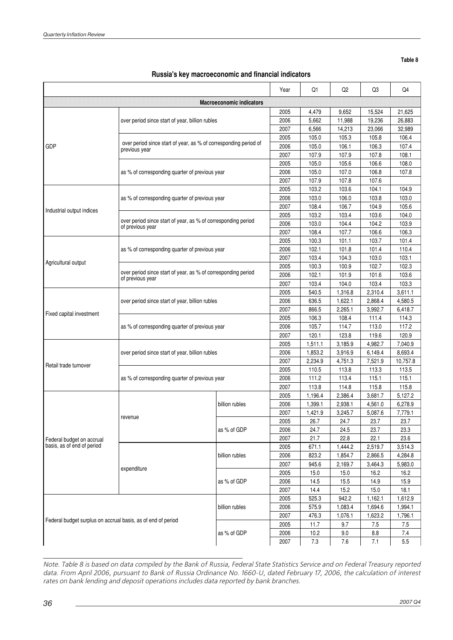**Table 8**

|  | Russia's key macroeconomic and financial indicators |  |  |
|--|-----------------------------------------------------|--|--|
|--|-----------------------------------------------------|--|--|

|                                                              |                                                                                   |                                 | Year  | Q1      | Q2      | Q3      | Q4       |
|--------------------------------------------------------------|-----------------------------------------------------------------------------------|---------------------------------|-------|---------|---------|---------|----------|
|                                                              |                                                                                   | <b>Macroeconomic indicators</b> |       |         |         |         |          |
|                                                              |                                                                                   |                                 | 2005  | 4,479   | 9,652   | 15,524  | 21,625   |
|                                                              | over period since start of year, billion rubles                                   |                                 | 2006  | 5,662   | 11,988  | 19.236  | 26,883   |
|                                                              |                                                                                   | 2007                            | 6,566 | 14,213  | 23,066  | 32,989  |          |
|                                                              |                                                                                   |                                 | 2005  | 105.0   | 105.3   | 105.8   | 106.4    |
| GDP                                                          | over period since start of year, as % of corresponding period of<br>previous year |                                 | 2006  | 105.0   | 106.1   | 106.3   | 107.4    |
|                                                              |                                                                                   | 2007                            | 107.9 | 107.9   | 107.8   | 108.1   |          |
|                                                              |                                                                                   |                                 | 2005  | 105.0   | 105.6   | 106.6   | 108.0    |
|                                                              | as % of corresponding quarter of previous year                                    |                                 | 2006  | 105.0   | 107.0   | 106.8   | 107.8    |
|                                                              |                                                                                   | 2007                            | 107.9 | 107.8   | 107.6   |         |          |
|                                                              |                                                                                   | 2005                            | 103.2 | 103.6   | 104.1   | 104.9   |          |
|                                                              | as % of corresponding quarter of previous year                                    |                                 | 2006  | 103.0   | 106.0   | 103.8   | 103.0    |
|                                                              |                                                                                   |                                 | 2007  | 108.4   | 106.7   | 104.9   | 105.6    |
| Industrial output indices                                    |                                                                                   |                                 | 2005  | 103.2   | 103.4   | 103.6   | 104.0    |
|                                                              | over period since start of year, as % of corresponding period<br>of previous year |                                 | 2006  | 103.0   | 104.4   | 104.2   | 103.9    |
|                                                              |                                                                                   |                                 | 2007  | 108.4   | 107.7   | 106.6   | 106.3    |
|                                                              |                                                                                   |                                 | 2005  | 100.3   | 101.1   | 103.7   | 101.4    |
|                                                              | as % of corresponding quarter of previous year                                    |                                 | 2006  | 102.1   | 101.8   | 101.4   | 110.4    |
|                                                              |                                                                                   |                                 | 2007  | 103.4   | 104.3   | 103.0   | 103.1    |
| Agricultural output                                          |                                                                                   |                                 | 2005  | 100.3   | 100.9   | 102.7   | 102.3    |
|                                                              | over period since start of year, as % of corresponding period<br>of previous year |                                 | 2006  | 102.1   | 101.9   | 101.6   | 103.6    |
|                                                              |                                                                                   |                                 | 2007  | 103.4   | 104.0   | 103.4   | 103.3    |
|                                                              |                                                                                   |                                 | 2005  | 540.5   | 1,316.8 | 2,310.4 | 3,611.1  |
|                                                              | over period since start of year, billion rubles                                   |                                 | 2006  | 636.5   | 1,622.1 | 2,868.4 | 4,580.5  |
|                                                              |                                                                                   |                                 | 2007  | 866.5   | 2,265.1 | 3,992.7 | 6,418.7  |
| Fixed capital investment                                     |                                                                                   |                                 | 2005  | 106.3   | 108.4   | 111.4   | 114.3    |
|                                                              | as % of corresponding quarter of previous year                                    |                                 | 2006  | 105.7   | 114.7   | 113.0   | 117.2    |
|                                                              |                                                                                   | 2007                            | 120.1 | 123.8   | 119.6   | 120.9   |          |
|                                                              |                                                                                   |                                 | 2005  | 1,511.1 | 3,185.9 | 4,982.7 | 7,040.9  |
|                                                              | over period since start of year, billion rubles                                   |                                 | 2006  | 1,853.2 | 3,916.9 | 6,149.4 | 8,693.4  |
|                                                              |                                                                                   |                                 | 2007  | 2,234.9 | 4,751.3 | 7,521.9 | 10,757.8 |
| Retail trade turnover                                        |                                                                                   |                                 | 2005  | 110.5   | 113.8   | 113.3   | 113.5    |
|                                                              | as % of corresponding quarter of previous year                                    |                                 | 2006  | 111.2   | 113.4   | 115.1   | 115.1    |
|                                                              |                                                                                   |                                 | 2007  | 113.8   | 114.8   | 115.8   | 115.8    |
|                                                              |                                                                                   |                                 | 2005  | 1.196.4 | 2,386.4 | 3,681.7 | 5,127.2  |
|                                                              |                                                                                   | billion rubles                  | 2006  | 1,399.1 | 2,938.1 | 4,561.0 | 6,278.9  |
|                                                              |                                                                                   |                                 | 2007  | 1,421.9 | 3,245.7 | 5,087.6 | 7,779.1  |
|                                                              | revenue                                                                           |                                 | 2005  | 26.7    | 24.7    | 23.7    | 23.7     |
|                                                              |                                                                                   | as % of GDP                     | 2006  | 24.7    | 24.5    | 23.7    | 23.3     |
| Federal budget on accrual                                    |                                                                                   |                                 | 2007  | 21.7    | 22.8    | 22.1    | 23.6     |
| basis, as of end of period                                   |                                                                                   |                                 | 2005  | 671.1   | 1,444.2 | 2,519.7 | 3,514.3  |
|                                                              |                                                                                   | billion rubles                  | 2006  | 823.2   | 1,854.7 | 2,866.5 | 4,284.8  |
|                                                              |                                                                                   |                                 | 2007  | 945.6   | 2,169.7 | 3,464.3 | 5,983.0  |
|                                                              | expenditure                                                                       | as % of GDP                     | 2005  | 15.0    | 15.0    | 16.2    | 16.2     |
|                                                              |                                                                                   |                                 | 2006  | 14.5    | 15.5    | 14.9    | 15.9     |
|                                                              |                                                                                   |                                 | 2007  | 14.4    | 15.2    | 15.0    | 18.1     |
|                                                              |                                                                                   |                                 | 2005  | 525.3   | 942.2   | 1,162.1 | 1,612.9  |
|                                                              |                                                                                   | billion rubles                  | 2006  | 575.9   | 1,083.4 | 1,694.6 | 1,994.1  |
| Federal budget surplus on accrual basis, as of end of period |                                                                                   |                                 | 2007  | 476.3   | 1,076.1 | 1,623.2 | 1,796.1  |
|                                                              |                                                                                   | as % of GDP                     | 2005  | 11.7    | 9.7     | 7.5     | 7.5      |
|                                                              |                                                                                   |                                 | 2006  | 10.2    | 9.0     | 8.8     | 7.4      |
|                                                              |                                                                                   |                                 | 2007  | 7.3     | $7.6\,$ | 7.1     | 5.5      |

Note. Table 8 is based on data compiled by the Bank of Russia, Federal State Statistics Service and on Federal Treasury reported data. From April 2006, pursuant to Bank of Russia Ordinance No. 1660-U, dated February 17, 2006, the calculation of interest rates on bank lending and deposit operations includes data reported by bank branches.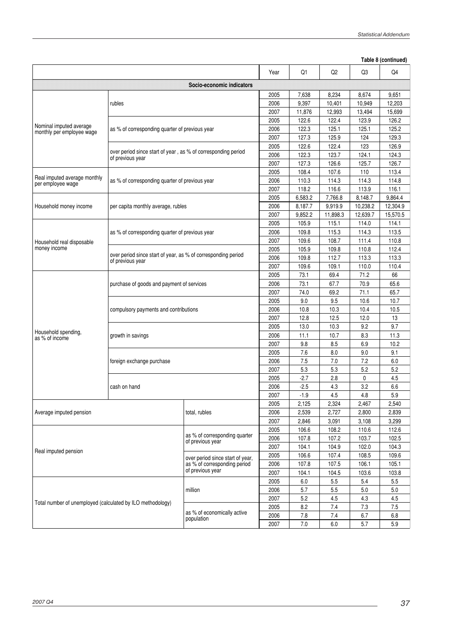|                                                            |                                                               |                                                                  | Table 8 (continued) |                |                |                |                |
|------------------------------------------------------------|---------------------------------------------------------------|------------------------------------------------------------------|---------------------|----------------|----------------|----------------|----------------|
|                                                            |                                                               |                                                                  | Year                | Q1             | Q <sub>2</sub> | Q3             | Q4             |
|                                                            |                                                               | Socio-economic indicators                                        |                     |                |                |                |                |
|                                                            |                                                               |                                                                  | 2005                | 7,638          | 8,234          | 8,674          | 9,651          |
|                                                            | rubles                                                        |                                                                  | 2006                | 9,397          | 10,401         | 10,949         | 12.203         |
|                                                            |                                                               |                                                                  | 2007                | 11,876         | 12,993         | 13,494         | 15,699         |
|                                                            |                                                               |                                                                  | 2005                | 122.6          | 122.4          | 123.9          | 126.2          |
| Nominal imputed average<br>monthly per employee wage       | as % of corresponding quarter of previous year                |                                                                  | 2006                | 122.3          | 125.1          | 125.1          | 125.2          |
|                                                            |                                                               |                                                                  | 2007                | 127.3          | 125.9          | 124            | 129.3          |
|                                                            | over period since start of year, as % of corresponding period |                                                                  | 2005                | 122.6          | 122.4          | 123            | 126.9          |
|                                                            | of previous year                                              |                                                                  | 2006                | 122.3          | 123.7          | 124.1          | 124.3          |
|                                                            |                                                               |                                                                  | 2007                | 127.3          | 126.6          | 125.7          | 126.7          |
| Real imputed average monthly                               |                                                               |                                                                  | 2005                | 108.4          | 107.6          | 110            | 113.4          |
| per employee wage                                          | as % of corresponding quarter of previous year                |                                                                  | 2006                | 110.3          | 114.3          | 114.3          | 114.8          |
|                                                            |                                                               |                                                                  | 2007                | 118.2          | 116.6          | 113.9          | 116.1          |
|                                                            |                                                               |                                                                  | 2005                | 6,583.2        | 7,766.8        | 8,148.7        | 9,864.4        |
| Household money income                                     | per capita monthly average, rubles                            |                                                                  | 2006                | 8,187.7        | 9,919.9        | 10,238.2       | 12,304.9       |
|                                                            |                                                               |                                                                  | 2007                | 9,852.2        | 11,898.3       | 12,639.7       | 15,570.5       |
|                                                            |                                                               |                                                                  | 2005                | 105.9          | 115.1          | 114.0          | 114.1          |
|                                                            | as % of corresponding quarter of previous year                |                                                                  | 2006                | 109.8          | 115.3          | 114.3          | 113.5          |
| Household real disposable                                  |                                                               |                                                                  | 2007                | 109.6          | 108.7          | 111.4          | 110.8          |
| money income                                               | over period since start of year, as % of corresponding period |                                                                  | 2005                | 105.9          | 109.8          | 110.8          | 112.4          |
|                                                            | of previous year                                              |                                                                  | 2006                | 109.8          | 112.7          | 113.3          | 113.3          |
|                                                            |                                                               |                                                                  | 2007                | 109.6          | 109.1          | 110.0          | 110.4          |
|                                                            |                                                               |                                                                  | 2005                | 73.1           | 69.4           | 71.2           | 66             |
|                                                            | purchase of goods and payment of services                     |                                                                  | 2006                | 73.1           | 67.7           | 70.9           | 65.6           |
|                                                            |                                                               |                                                                  | 2007                | 74.0           | 69.2           | 71.1           | 65.7           |
|                                                            |                                                               |                                                                  | 2005                | 9.0            | 9.5            | 10.6           | 10.7           |
|                                                            | compulsory payments and contributions                         |                                                                  | 2006                | 10.8           | 10.3           | 10.4           | 10.5           |
|                                                            |                                                               |                                                                  | 2007                | 12.8           | 12.5           | 12.0           | 13             |
| Household spending,                                        |                                                               |                                                                  | 2005                | 13.0           | 10.3           | 9.2            | 9.7            |
| as % of income                                             | growth in savings                                             |                                                                  | 2006                | 11.1           | 10.7           | 8.3            | 11.3           |
|                                                            |                                                               |                                                                  | 2007                | 9.8            | 8.5            | 6.9            | 10.2           |
|                                                            |                                                               |                                                                  | 2005                | 7.6            | 8.0            | 9.0            | 9.1            |
|                                                            | foreign exchange purchase                                     |                                                                  | 2006                | 7.5            | 7.0            | 7.2            | 6.0            |
|                                                            |                                                               |                                                                  | 2007                | 5.3            | 5.3            | 5.2            | 5.2            |
|                                                            |                                                               |                                                                  | 2005                | $-2.7$         | 2.8            | 0              | 4.5            |
|                                                            | cash on hand                                                  |                                                                  | 2006                | $-2.5$         | 4.3            | 3.2            | 6.6            |
|                                                            |                                                               |                                                                  | 2007                | $-1.9$         | 4.5            | 4.8            | $5.9\,$        |
|                                                            |                                                               |                                                                  | 2005                | 2,125          | 2,324          | 2,467          | 2,540          |
| Average imputed pension                                    |                                                               | total, rubles                                                    | 2006                | 2,539          | 2,727          | 2,800          | 2,839          |
|                                                            |                                                               |                                                                  | 2007                | 2,846          | 3,091          | 3,108          | 3,299          |
|                                                            |                                                               | as % of corresponding quarter                                    | 2005                | 106.6          | 108.2          | 110.6          | 112.6          |
|                                                            |                                                               | of previous year                                                 | 2006                | 107.8          | 107.2          | 103.7          | 102.5          |
| Real imputed pension                                       |                                                               |                                                                  | 2007                | 104.1          | 104.9          | 102.0          | 104.3          |
|                                                            |                                                               | over period since start of year,<br>as % of corresponding period | 2005<br>2006        | 106.6<br>107.8 | 107.4<br>107.5 | 108.5<br>106.1 | 109.6<br>105.1 |
|                                                            |                                                               | of previous year                                                 |                     |                |                |                |                |
|                                                            |                                                               |                                                                  | 2007                | 104.1          | 104.5          | 103.6          | 103.8          |
|                                                            |                                                               |                                                                  | 2005                | 6.0            | 5.5            | 5.4            | 5.5            |
| Total number of unemployed (calculated by ILO methodology) |                                                               | million                                                          | 2006                | 5.7            | 5.5            | 5.0            | 5.0            |
|                                                            |                                                               | as % of economically active<br>population                        | 2007                | 5.2            | 4.5            | 4.3            | 4.5            |
|                                                            |                                                               |                                                                  | 2005<br>2006        | 8.2<br>7.8     | 7.4<br>7.4     | 7.3<br>6.7     | $7.5\,$<br>6.8 |
|                                                            |                                                               |                                                                  | 2007                | $7.0$          | 6.0            | 5.7            | 5.9            |
|                                                            |                                                               |                                                                  |                     |                |                |                |                |

 $\frac{1}{2}$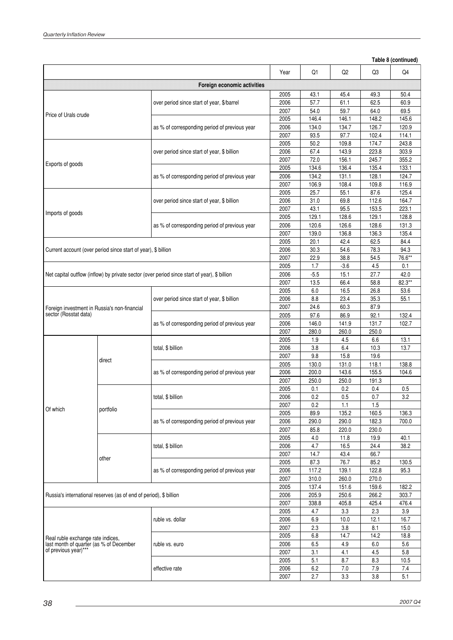$\hat{\boldsymbol{\beta}}$ 

|                                                                   |                                                               |                                                                                              | Year                                                                                                                                                                                                                                                                                                                                                                                                                                                                                                                                                                                                                                                                                                                                                                                                                                                                                                                                                                                                                                                                                                                                                                                                                                                                                                                                                                                                                                                                                                                                                                                                                                                                                                                                                                                                                                                                                                                                                                                         | Q1    | Q <sub>2</sub> | Q3  | Q4     |
|-------------------------------------------------------------------|---------------------------------------------------------------|----------------------------------------------------------------------------------------------|----------------------------------------------------------------------------------------------------------------------------------------------------------------------------------------------------------------------------------------------------------------------------------------------------------------------------------------------------------------------------------------------------------------------------------------------------------------------------------------------------------------------------------------------------------------------------------------------------------------------------------------------------------------------------------------------------------------------------------------------------------------------------------------------------------------------------------------------------------------------------------------------------------------------------------------------------------------------------------------------------------------------------------------------------------------------------------------------------------------------------------------------------------------------------------------------------------------------------------------------------------------------------------------------------------------------------------------------------------------------------------------------------------------------------------------------------------------------------------------------------------------------------------------------------------------------------------------------------------------------------------------------------------------------------------------------------------------------------------------------------------------------------------------------------------------------------------------------------------------------------------------------------------------------------------------------------------------------------------------------|-------|----------------|-----|--------|
|                                                                   |                                                               | Foreign economic activities                                                                  |                                                                                                                                                                                                                                                                                                                                                                                                                                                                                                                                                                                                                                                                                                                                                                                                                                                                                                                                                                                                                                                                                                                                                                                                                                                                                                                                                                                                                                                                                                                                                                                                                                                                                                                                                                                                                                                                                                                                                                                              |       |                |     |        |
|                                                                   |                                                               |                                                                                              |                                                                                                                                                                                                                                                                                                                                                                                                                                                                                                                                                                                                                                                                                                                                                                                                                                                                                                                                                                                                                                                                                                                                                                                                                                                                                                                                                                                                                                                                                                                                                                                                                                                                                                                                                                                                                                                                                                                                                                                              |       |                |     | 50.4   |
|                                                                   |                                                               | over period since start of year, \$/barrel                                                   |                                                                                                                                                                                                                                                                                                                                                                                                                                                                                                                                                                                                                                                                                                                                                                                                                                                                                                                                                                                                                                                                                                                                                                                                                                                                                                                                                                                                                                                                                                                                                                                                                                                                                                                                                                                                                                                                                                                                                                                              |       |                |     | 60.9   |
|                                                                   |                                                               |                                                                                              |                                                                                                                                                                                                                                                                                                                                                                                                                                                                                                                                                                                                                                                                                                                                                                                                                                                                                                                                                                                                                                                                                                                                                                                                                                                                                                                                                                                                                                                                                                                                                                                                                                                                                                                                                                                                                                                                                                                                                                                              |       |                |     | 69.5   |
| Price of Urals crude                                              |                                                               |                                                                                              |                                                                                                                                                                                                                                                                                                                                                                                                                                                                                                                                                                                                                                                                                                                                                                                                                                                                                                                                                                                                                                                                                                                                                                                                                                                                                                                                                                                                                                                                                                                                                                                                                                                                                                                                                                                                                                                                                                                                                                                              |       |                |     | 145.6  |
|                                                                   |                                                               | as % of corresponding period of previous year                                                |                                                                                                                                                                                                                                                                                                                                                                                                                                                                                                                                                                                                                                                                                                                                                                                                                                                                                                                                                                                                                                                                                                                                                                                                                                                                                                                                                                                                                                                                                                                                                                                                                                                                                                                                                                                                                                                                                                                                                                                              |       |                |     | 120.9  |
|                                                                   |                                                               |                                                                                              | Table 8 (continued)<br>2005<br>43.1<br>45.4<br>49.3<br>57.7<br>61.1<br>62.5<br>2006<br>2007<br>54.0<br>59.7<br>64.0<br>2005<br>146.4<br>148.2<br>146.1<br>2006<br>134.0<br>134.7<br>126.7<br>2007<br>93.5<br>97.7<br>102.4<br>2005<br>50.2<br>109.8<br>174.7<br>2006<br>67.4<br>143.9<br>223.8<br>2007<br>72.0<br>156.1<br>245.7<br>136.4<br>2005<br>134.6<br>135.4<br>2006<br>134.2<br>131.1<br>128.1<br>2007<br>106.9<br>108.4<br>109.8<br>2005<br>25.7<br>55.1<br>87.6<br>2006<br>112.6<br>31.0<br>69.8<br>2007<br>43.1<br>95.5<br>153.5<br>2005<br>129.1<br>128.6<br>129.1<br>126.6<br>128.6<br>2006<br>120.6<br>2007<br>135.4<br>139.0<br>136.8<br>136.3<br>2005<br>20.1<br>42.4<br>62.5<br>84.4<br>2006<br>30.3<br>54.6<br>78.3<br>2007<br>22.9<br>38.8<br>54.5<br>1.7<br>$-3.6$<br>4.5<br>2005<br>$-5.5$<br>15.1<br>27.7<br>2006<br>2007<br>13.5<br>66.4<br>58.8<br>16.5<br>26.8<br>2005<br>6.0<br>35.3<br>2006<br>8.8<br>23.4<br>2007<br>24.6<br>60.3<br>87.9<br>92.1<br>2005<br>97.6<br>86.9<br>2006<br>146.0<br>131.7<br>141.9<br>2007<br>280.0<br>260.0<br>250.0<br>1.9<br>4.5<br>6.6<br>2005<br>2006<br>3.8<br>6.4<br>10.3<br>2007<br>9.8<br>15.8<br>19.6<br>2005<br>130.0<br>131.0<br>118.1<br>2006<br>200.0<br>143.6<br>155.5<br>2007<br>250.0<br>250.0<br>191.3<br>2005<br>0.1<br>0.2<br>0.4<br>2006<br>0.2<br>0.5<br>0.7<br>2007<br>0.2<br>1.1<br>1.5<br>2005<br>89.9<br>135.2<br>160.5<br>2006<br>290.0<br>290.0<br>182.3<br>2007<br>230.0<br>85.8<br>220.0<br>2005<br>4.0<br>11.8<br>19.9<br>2006<br>4.7<br>16.5<br>24.4<br>2007<br>14.7<br>43.4<br>66.7<br>87.3<br>76.7<br>2005<br>85.2<br>117.2<br>95.3<br>2006<br>139.1<br>122.8<br>2007<br>310.0<br>260.0<br>270.0<br>137.4<br>2005<br>151.6<br>159.6<br>2006<br>205.9<br>250.6<br>266.2<br>303.7<br>2007<br>338.8<br>405.8<br>425.4<br>2005<br>3.3<br>2.3<br>4.7<br>2006<br>6.9<br>10.0<br>12.1<br>2007<br>2.3<br>3.8<br>8.1<br>14.2<br>2005<br>6.8<br>14.7<br>4.9<br>2006<br>6.5<br>6.0<br>2007<br>4.5<br>3.1<br>4.1 | 114.1 |                |     |        |
|                                                                   |                                                               |                                                                                              |                                                                                                                                                                                                                                                                                                                                                                                                                                                                                                                                                                                                                                                                                                                                                                                                                                                                                                                                                                                                                                                                                                                                                                                                                                                                                                                                                                                                                                                                                                                                                                                                                                                                                                                                                                                                                                                                                                                                                                                              |       |                |     | 243.8  |
|                                                                   |                                                               | over period since start of year, \$ billion                                                  |                                                                                                                                                                                                                                                                                                                                                                                                                                                                                                                                                                                                                                                                                                                                                                                                                                                                                                                                                                                                                                                                                                                                                                                                                                                                                                                                                                                                                                                                                                                                                                                                                                                                                                                                                                                                                                                                                                                                                                                              |       |                |     | 303.9  |
|                                                                   |                                                               |                                                                                              |                                                                                                                                                                                                                                                                                                                                                                                                                                                                                                                                                                                                                                                                                                                                                                                                                                                                                                                                                                                                                                                                                                                                                                                                                                                                                                                                                                                                                                                                                                                                                                                                                                                                                                                                                                                                                                                                                                                                                                                              |       |                |     | 355.2  |
| Exports of goods                                                  |                                                               |                                                                                              |                                                                                                                                                                                                                                                                                                                                                                                                                                                                                                                                                                                                                                                                                                                                                                                                                                                                                                                                                                                                                                                                                                                                                                                                                                                                                                                                                                                                                                                                                                                                                                                                                                                                                                                                                                                                                                                                                                                                                                                              |       |                |     | 133.1  |
|                                                                   |                                                               | as % of corresponding period of previous year                                                |                                                                                                                                                                                                                                                                                                                                                                                                                                                                                                                                                                                                                                                                                                                                                                                                                                                                                                                                                                                                                                                                                                                                                                                                                                                                                                                                                                                                                                                                                                                                                                                                                                                                                                                                                                                                                                                                                                                                                                                              |       |                |     | 124.7  |
|                                                                   |                                                               |                                                                                              |                                                                                                                                                                                                                                                                                                                                                                                                                                                                                                                                                                                                                                                                                                                                                                                                                                                                                                                                                                                                                                                                                                                                                                                                                                                                                                                                                                                                                                                                                                                                                                                                                                                                                                                                                                                                                                                                                                                                                                                              |       | 116.9          |     |        |
|                                                                   |                                                               |                                                                                              |                                                                                                                                                                                                                                                                                                                                                                                                                                                                                                                                                                                                                                                                                                                                                                                                                                                                                                                                                                                                                                                                                                                                                                                                                                                                                                                                                                                                                                                                                                                                                                                                                                                                                                                                                                                                                                                                                                                                                                                              |       |                |     | 125.4  |
|                                                                   |                                                               | over period since start of year, \$ billion                                                  |                                                                                                                                                                                                                                                                                                                                                                                                                                                                                                                                                                                                                                                                                                                                                                                                                                                                                                                                                                                                                                                                                                                                                                                                                                                                                                                                                                                                                                                                                                                                                                                                                                                                                                                                                                                                                                                                                                                                                                                              |       |                |     | 164.7  |
|                                                                   |                                                               |                                                                                              |                                                                                                                                                                                                                                                                                                                                                                                                                                                                                                                                                                                                                                                                                                                                                                                                                                                                                                                                                                                                                                                                                                                                                                                                                                                                                                                                                                                                                                                                                                                                                                                                                                                                                                                                                                                                                                                                                                                                                                                              |       |                |     | 223.1  |
| Imports of goods                                                  |                                                               |                                                                                              |                                                                                                                                                                                                                                                                                                                                                                                                                                                                                                                                                                                                                                                                                                                                                                                                                                                                                                                                                                                                                                                                                                                                                                                                                                                                                                                                                                                                                                                                                                                                                                                                                                                                                                                                                                                                                                                                                                                                                                                              |       |                |     | 128.8  |
|                                                                   |                                                               | as % of corresponding period of previous year                                                |                                                                                                                                                                                                                                                                                                                                                                                                                                                                                                                                                                                                                                                                                                                                                                                                                                                                                                                                                                                                                                                                                                                                                                                                                                                                                                                                                                                                                                                                                                                                                                                                                                                                                                                                                                                                                                                                                                                                                                                              |       |                |     | 131.3  |
|                                                                   |                                                               |                                                                                              |                                                                                                                                                                                                                                                                                                                                                                                                                                                                                                                                                                                                                                                                                                                                                                                                                                                                                                                                                                                                                                                                                                                                                                                                                                                                                                                                                                                                                                                                                                                                                                                                                                                                                                                                                                                                                                                                                                                                                                                              |       |                |     |        |
|                                                                   |                                                               |                                                                                              |                                                                                                                                                                                                                                                                                                                                                                                                                                                                                                                                                                                                                                                                                                                                                                                                                                                                                                                                                                                                                                                                                                                                                                                                                                                                                                                                                                                                                                                                                                                                                                                                                                                                                                                                                                                                                                                                                                                                                                                              |       |                |     |        |
|                                                                   |                                                               |                                                                                              |                                                                                                                                                                                                                                                                                                                                                                                                                                                                                                                                                                                                                                                                                                                                                                                                                                                                                                                                                                                                                                                                                                                                                                                                                                                                                                                                                                                                                                                                                                                                                                                                                                                                                                                                                                                                                                                                                                                                                                                              |       |                |     |        |
|                                                                   | Current account (over period since start of year), \$ billion |                                                                                              |                                                                                                                                                                                                                                                                                                                                                                                                                                                                                                                                                                                                                                                                                                                                                                                                                                                                                                                                                                                                                                                                                                                                                                                                                                                                                                                                                                                                                                                                                                                                                                                                                                                                                                                                                                                                                                                                                                                                                                                              |       |                |     | 94.3   |
|                                                                   |                                                               |                                                                                              |                                                                                                                                                                                                                                                                                                                                                                                                                                                                                                                                                                                                                                                                                                                                                                                                                                                                                                                                                                                                                                                                                                                                                                                                                                                                                                                                                                                                                                                                                                                                                                                                                                                                                                                                                                                                                                                                                                                                                                                              |       |                |     | 76.6** |
|                                                                   |                                                               |                                                                                              |                                                                                                                                                                                                                                                                                                                                                                                                                                                                                                                                                                                                                                                                                                                                                                                                                                                                                                                                                                                                                                                                                                                                                                                                                                                                                                                                                                                                                                                                                                                                                                                                                                                                                                                                                                                                                                                                                                                                                                                              |       |                |     | 0.1    |
|                                                                   |                                                               | Net capital outflow (inflow) by private sector (over period since start of year), \$ billion |                                                                                                                                                                                                                                                                                                                                                                                                                                                                                                                                                                                                                                                                                                                                                                                                                                                                                                                                                                                                                                                                                                                                                                                                                                                                                                                                                                                                                                                                                                                                                                                                                                                                                                                                                                                                                                                                                                                                                                                              |       |                |     | 42.0   |
|                                                                   |                                                               |                                                                                              |                                                                                                                                                                                                                                                                                                                                                                                                                                                                                                                                                                                                                                                                                                                                                                                                                                                                                                                                                                                                                                                                                                                                                                                                                                                                                                                                                                                                                                                                                                                                                                                                                                                                                                                                                                                                                                                                                                                                                                                              |       |                |     | 82.3** |
|                                                                   |                                                               |                                                                                              |                                                                                                                                                                                                                                                                                                                                                                                                                                                                                                                                                                                                                                                                                                                                                                                                                                                                                                                                                                                                                                                                                                                                                                                                                                                                                                                                                                                                                                                                                                                                                                                                                                                                                                                                                                                                                                                                                                                                                                                              |       |                |     | 53.6   |
|                                                                   |                                                               | over period since start of year, \$ billion                                                  |                                                                                                                                                                                                                                                                                                                                                                                                                                                                                                                                                                                                                                                                                                                                                                                                                                                                                                                                                                                                                                                                                                                                                                                                                                                                                                                                                                                                                                                                                                                                                                                                                                                                                                                                                                                                                                                                                                                                                                                              |       |                |     | 55.1   |
| Foreign investment in Russia's non-financial                      |                                                               |                                                                                              |                                                                                                                                                                                                                                                                                                                                                                                                                                                                                                                                                                                                                                                                                                                                                                                                                                                                                                                                                                                                                                                                                                                                                                                                                                                                                                                                                                                                                                                                                                                                                                                                                                                                                                                                                                                                                                                                                                                                                                                              |       |                |     |        |
| sector (Rosstat data)                                             |                                                               |                                                                                              |                                                                                                                                                                                                                                                                                                                                                                                                                                                                                                                                                                                                                                                                                                                                                                                                                                                                                                                                                                                                                                                                                                                                                                                                                                                                                                                                                                                                                                                                                                                                                                                                                                                                                                                                                                                                                                                                                                                                                                                              |       |                |     | 132.4  |
|                                                                   |                                                               | as % of corresponding period of previous year                                                |                                                                                                                                                                                                                                                                                                                                                                                                                                                                                                                                                                                                                                                                                                                                                                                                                                                                                                                                                                                                                                                                                                                                                                                                                                                                                                                                                                                                                                                                                                                                                                                                                                                                                                                                                                                                                                                                                                                                                                                              |       |                |     | 102.7  |
|                                                                   |                                                               |                                                                                              |                                                                                                                                                                                                                                                                                                                                                                                                                                                                                                                                                                                                                                                                                                                                                                                                                                                                                                                                                                                                                                                                                                                                                                                                                                                                                                                                                                                                                                                                                                                                                                                                                                                                                                                                                                                                                                                                                                                                                                                              |       |                |     |        |
|                                                                   |                                                               |                                                                                              |                                                                                                                                                                                                                                                                                                                                                                                                                                                                                                                                                                                                                                                                                                                                                                                                                                                                                                                                                                                                                                                                                                                                                                                                                                                                                                                                                                                                                                                                                                                                                                                                                                                                                                                                                                                                                                                                                                                                                                                              |       |                |     | 13.1   |
|                                                                   |                                                               | total, \$ billion                                                                            |                                                                                                                                                                                                                                                                                                                                                                                                                                                                                                                                                                                                                                                                                                                                                                                                                                                                                                                                                                                                                                                                                                                                                                                                                                                                                                                                                                                                                                                                                                                                                                                                                                                                                                                                                                                                                                                                                                                                                                                              |       |                |     | 13.7   |
|                                                                   |                                                               |                                                                                              |                                                                                                                                                                                                                                                                                                                                                                                                                                                                                                                                                                                                                                                                                                                                                                                                                                                                                                                                                                                                                                                                                                                                                                                                                                                                                                                                                                                                                                                                                                                                                                                                                                                                                                                                                                                                                                                                                                                                                                                              |       |                |     |        |
|                                                                   | direct                                                        |                                                                                              |                                                                                                                                                                                                                                                                                                                                                                                                                                                                                                                                                                                                                                                                                                                                                                                                                                                                                                                                                                                                                                                                                                                                                                                                                                                                                                                                                                                                                                                                                                                                                                                                                                                                                                                                                                                                                                                                                                                                                                                              |       |                |     | 138.8  |
|                                                                   |                                                               | as % of corresponding period of previous year                                                |                                                                                                                                                                                                                                                                                                                                                                                                                                                                                                                                                                                                                                                                                                                                                                                                                                                                                                                                                                                                                                                                                                                                                                                                                                                                                                                                                                                                                                                                                                                                                                                                                                                                                                                                                                                                                                                                                                                                                                                              |       |                |     | 104.6  |
|                                                                   |                                                               |                                                                                              |                                                                                                                                                                                                                                                                                                                                                                                                                                                                                                                                                                                                                                                                                                                                                                                                                                                                                                                                                                                                                                                                                                                                                                                                                                                                                                                                                                                                                                                                                                                                                                                                                                                                                                                                                                                                                                                                                                                                                                                              |       |                |     |        |
|                                                                   |                                                               |                                                                                              |                                                                                                                                                                                                                                                                                                                                                                                                                                                                                                                                                                                                                                                                                                                                                                                                                                                                                                                                                                                                                                                                                                                                                                                                                                                                                                                                                                                                                                                                                                                                                                                                                                                                                                                                                                                                                                                                                                                                                                                              |       |                |     | 0.5    |
|                                                                   |                                                               | total, \$ billion                                                                            |                                                                                                                                                                                                                                                                                                                                                                                                                                                                                                                                                                                                                                                                                                                                                                                                                                                                                                                                                                                                                                                                                                                                                                                                                                                                                                                                                                                                                                                                                                                                                                                                                                                                                                                                                                                                                                                                                                                                                                                              |       |                |     | 3.2    |
|                                                                   |                                                               |                                                                                              |                                                                                                                                                                                                                                                                                                                                                                                                                                                                                                                                                                                                                                                                                                                                                                                                                                                                                                                                                                                                                                                                                                                                                                                                                                                                                                                                                                                                                                                                                                                                                                                                                                                                                                                                                                                                                                                                                                                                                                                              |       |                |     |        |
| Of which                                                          | portfolio                                                     |                                                                                              |                                                                                                                                                                                                                                                                                                                                                                                                                                                                                                                                                                                                                                                                                                                                                                                                                                                                                                                                                                                                                                                                                                                                                                                                                                                                                                                                                                                                                                                                                                                                                                                                                                                                                                                                                                                                                                                                                                                                                                                              |       |                |     | 136.3  |
|                                                                   |                                                               | as % of corresponding period of previous year                                                |                                                                                                                                                                                                                                                                                                                                                                                                                                                                                                                                                                                                                                                                                                                                                                                                                                                                                                                                                                                                                                                                                                                                                                                                                                                                                                                                                                                                                                                                                                                                                                                                                                                                                                                                                                                                                                                                                                                                                                                              |       |                |     | 700.0  |
|                                                                   |                                                               |                                                                                              |                                                                                                                                                                                                                                                                                                                                                                                                                                                                                                                                                                                                                                                                                                                                                                                                                                                                                                                                                                                                                                                                                                                                                                                                                                                                                                                                                                                                                                                                                                                                                                                                                                                                                                                                                                                                                                                                                                                                                                                              |       |                |     |        |
|                                                                   |                                                               |                                                                                              |                                                                                                                                                                                                                                                                                                                                                                                                                                                                                                                                                                                                                                                                                                                                                                                                                                                                                                                                                                                                                                                                                                                                                                                                                                                                                                                                                                                                                                                                                                                                                                                                                                                                                                                                                                                                                                                                                                                                                                                              |       |                |     | 40.1   |
|                                                                   |                                                               | total, \$ billion                                                                            |                                                                                                                                                                                                                                                                                                                                                                                                                                                                                                                                                                                                                                                                                                                                                                                                                                                                                                                                                                                                                                                                                                                                                                                                                                                                                                                                                                                                                                                                                                                                                                                                                                                                                                                                                                                                                                                                                                                                                                                              |       |                |     | 38.2   |
|                                                                   |                                                               |                                                                                              |                                                                                                                                                                                                                                                                                                                                                                                                                                                                                                                                                                                                                                                                                                                                                                                                                                                                                                                                                                                                                                                                                                                                                                                                                                                                                                                                                                                                                                                                                                                                                                                                                                                                                                                                                                                                                                                                                                                                                                                              |       |                |     |        |
|                                                                   | other                                                         |                                                                                              |                                                                                                                                                                                                                                                                                                                                                                                                                                                                                                                                                                                                                                                                                                                                                                                                                                                                                                                                                                                                                                                                                                                                                                                                                                                                                                                                                                                                                                                                                                                                                                                                                                                                                                                                                                                                                                                                                                                                                                                              |       |                |     | 130.5  |
|                                                                   |                                                               | as % of corresponding period of previous year                                                |                                                                                                                                                                                                                                                                                                                                                                                                                                                                                                                                                                                                                                                                                                                                                                                                                                                                                                                                                                                                                                                                                                                                                                                                                                                                                                                                                                                                                                                                                                                                                                                                                                                                                                                                                                                                                                                                                                                                                                                              |       |                |     |        |
|                                                                   |                                                               |                                                                                              |                                                                                                                                                                                                                                                                                                                                                                                                                                                                                                                                                                                                                                                                                                                                                                                                                                                                                                                                                                                                                                                                                                                                                                                                                                                                                                                                                                                                                                                                                                                                                                                                                                                                                                                                                                                                                                                                                                                                                                                              |       |                |     |        |
|                                                                   |                                                               |                                                                                              |                                                                                                                                                                                                                                                                                                                                                                                                                                                                                                                                                                                                                                                                                                                                                                                                                                                                                                                                                                                                                                                                                                                                                                                                                                                                                                                                                                                                                                                                                                                                                                                                                                                                                                                                                                                                                                                                                                                                                                                              |       |                |     |        |
|                                                                   |                                                               |                                                                                              |                                                                                                                                                                                                                                                                                                                                                                                                                                                                                                                                                                                                                                                                                                                                                                                                                                                                                                                                                                                                                                                                                                                                                                                                                                                                                                                                                                                                                                                                                                                                                                                                                                                                                                                                                                                                                                                                                                                                                                                              |       |                |     | 182.2  |
| Russia's international reserves (as of end of period), \$ billion |                                                               |                                                                                              |                                                                                                                                                                                                                                                                                                                                                                                                                                                                                                                                                                                                                                                                                                                                                                                                                                                                                                                                                                                                                                                                                                                                                                                                                                                                                                                                                                                                                                                                                                                                                                                                                                                                                                                                                                                                                                                                                                                                                                                              |       |                |     |        |
|                                                                   |                                                               |                                                                                              |                                                                                                                                                                                                                                                                                                                                                                                                                                                                                                                                                                                                                                                                                                                                                                                                                                                                                                                                                                                                                                                                                                                                                                                                                                                                                                                                                                                                                                                                                                                                                                                                                                                                                                                                                                                                                                                                                                                                                                                              |       |                |     | 476.4  |
|                                                                   |                                                               |                                                                                              |                                                                                                                                                                                                                                                                                                                                                                                                                                                                                                                                                                                                                                                                                                                                                                                                                                                                                                                                                                                                                                                                                                                                                                                                                                                                                                                                                                                                                                                                                                                                                                                                                                                                                                                                                                                                                                                                                                                                                                                              |       |                |     | 3.9    |
|                                                                   |                                                               | ruble vs. dollar                                                                             |                                                                                                                                                                                                                                                                                                                                                                                                                                                                                                                                                                                                                                                                                                                                                                                                                                                                                                                                                                                                                                                                                                                                                                                                                                                                                                                                                                                                                                                                                                                                                                                                                                                                                                                                                                                                                                                                                                                                                                                              |       |                |     | 16.7   |
|                                                                   |                                                               |                                                                                              |                                                                                                                                                                                                                                                                                                                                                                                                                                                                                                                                                                                                                                                                                                                                                                                                                                                                                                                                                                                                                                                                                                                                                                                                                                                                                                                                                                                                                                                                                                                                                                                                                                                                                                                                                                                                                                                                                                                                                                                              |       |                |     | 15.0   |
| Real ruble exchange rate indices,                                 |                                                               |                                                                                              |                                                                                                                                                                                                                                                                                                                                                                                                                                                                                                                                                                                                                                                                                                                                                                                                                                                                                                                                                                                                                                                                                                                                                                                                                                                                                                                                                                                                                                                                                                                                                                                                                                                                                                                                                                                                                                                                                                                                                                                              |       |                |     | 18.8   |
| last month of quarter (as % of December                           |                                                               | ruble vs. euro                                                                               |                                                                                                                                                                                                                                                                                                                                                                                                                                                                                                                                                                                                                                                                                                                                                                                                                                                                                                                                                                                                                                                                                                                                                                                                                                                                                                                                                                                                                                                                                                                                                                                                                                                                                                                                                                                                                                                                                                                                                                                              |       |                |     | 5.6    |
| of previous year)***                                              |                                                               |                                                                                              |                                                                                                                                                                                                                                                                                                                                                                                                                                                                                                                                                                                                                                                                                                                                                                                                                                                                                                                                                                                                                                                                                                                                                                                                                                                                                                                                                                                                                                                                                                                                                                                                                                                                                                                                                                                                                                                                                                                                                                                              |       |                |     | 5.8    |
|                                                                   |                                                               |                                                                                              | 2005                                                                                                                                                                                                                                                                                                                                                                                                                                                                                                                                                                                                                                                                                                                                                                                                                                                                                                                                                                                                                                                                                                                                                                                                                                                                                                                                                                                                                                                                                                                                                                                                                                                                                                                                                                                                                                                                                                                                                                                         | 5.1   | 8.7            | 8.3 | 10.5   |
|                                                                   |                                                               | effective rate                                                                               | 2006                                                                                                                                                                                                                                                                                                                                                                                                                                                                                                                                                                                                                                                                                                                                                                                                                                                                                                                                                                                                                                                                                                                                                                                                                                                                                                                                                                                                                                                                                                                                                                                                                                                                                                                                                                                                                                                                                                                                                                                         | 6.2   | 7.0            | 7.9 | 7.4    |
|                                                                   |                                                               |                                                                                              | 2007                                                                                                                                                                                                                                                                                                                                                                                                                                                                                                                                                                                                                                                                                                                                                                                                                                                                                                                                                                                                                                                                                                                                                                                                                                                                                                                                                                                                                                                                                                                                                                                                                                                                                                                                                                                                                                                                                                                                                                                         | 2.7   | 3.3            | 3.8 | 5.1    |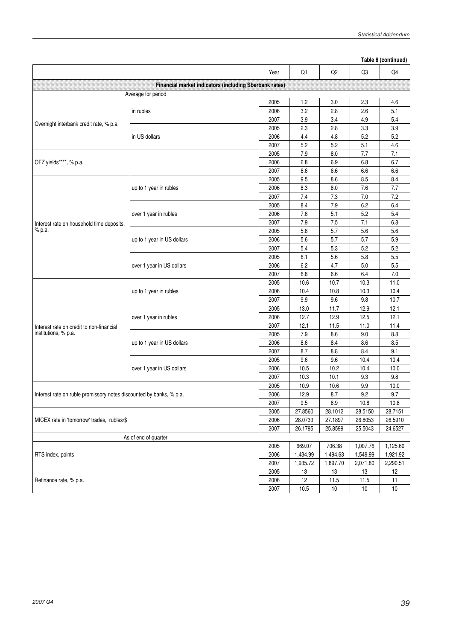|                                                                     | Table 8 (continued)                                    |              |          |                |          |          |  |
|---------------------------------------------------------------------|--------------------------------------------------------|--------------|----------|----------------|----------|----------|--|
|                                                                     |                                                        | Year         | Q1       | Q <sub>2</sub> | Q3       | Q4       |  |
|                                                                     | Financial market indicators (including Sberbank rates) |              |          |                |          |          |  |
|                                                                     | Average for period                                     |              |          |                |          |          |  |
|                                                                     |                                                        | 2005         | 1.2      | 3.0            | 2.3      | 4.6      |  |
|                                                                     | in rubles                                              | 2006         | 3.2      | 2.8            | 2.6      | 5.1      |  |
|                                                                     |                                                        | 2007         | 3.9      | 3.4            | 4.9      | 5.4      |  |
| Overnight interbank credit rate, % p.a.                             |                                                        | 2005         | 2.3      | 2.8            | 3.3      | 3.9      |  |
|                                                                     | in US dollars                                          | 2006         | 4.4      | 4.8            | 5.2      | 5.2      |  |
|                                                                     |                                                        | 2007         | 5.2      | 5.2            | 5.1      | 4.6      |  |
|                                                                     |                                                        | 2005         | 7.9      | 8.0            | 7.7      | 7.1      |  |
| OFZ yields****, % p.a.                                              |                                                        | 2006         | 6.8      | 6.9            | 6.8      | 6.7      |  |
|                                                                     |                                                        | 2007         | 6.6      | 6.6            | 6.6      | 6.6      |  |
|                                                                     |                                                        | 2005         | 9.5      | 8.6            | 8.5      | 8.4      |  |
|                                                                     | up to 1 year in rubles                                 | 2006         | 8.3      | 8.0            | 7.6      | 7.7      |  |
|                                                                     |                                                        | 2007         | 7.4      | 7.3            | $7.0$    | 7.2      |  |
|                                                                     |                                                        | 2005         | 8.4      | $7.9$          | 6.2      | 6.4      |  |
|                                                                     | over 1 year in rubles                                  | 2006         | 7.6      | 5.1            | 5.2      | 5.4      |  |
| Interest rate on household time deposits,                           |                                                        | 2007         | $7.9$    | 7.5            | 7.1      | 6.8      |  |
| % p.a.                                                              |                                                        | 2005         | 5.6      | 5.7            | 5.6      | 5.6      |  |
|                                                                     | up to 1 year in US dollars                             | 2006         | 5.6      | 5.7            | 5.7      | 5.9      |  |
|                                                                     |                                                        | 2007         | 5.4      | 5.3            | 5.2      | 5.2      |  |
|                                                                     | over 1 year in US dollars                              | 2005         | 6.1      | 5.6            | 5.8      | 5.5      |  |
|                                                                     |                                                        | 2006         | 6.2      | 4.7            | 5.0      | 5.5      |  |
|                                                                     |                                                        | 2007         | 6.8      | 6.6            | 6.4      | $7.0$    |  |
|                                                                     | up to 1 year in rubles                                 | 2005         | 10.6     | 10.7           | 10.3     | 11.0     |  |
|                                                                     |                                                        | 2006         | 10.4     | 10.8           | 10.3     | 10.4     |  |
|                                                                     |                                                        | 2007         | 9.9      | 9.6            | 9.8      | 10.7     |  |
|                                                                     |                                                        | 2005         | 13.0     | 11.7           | 12.9     | 12.1     |  |
|                                                                     | over 1 year in rubles                                  | 2006         | 12.7     | 12.9           | 12.5     | 12.1     |  |
|                                                                     |                                                        | 2007         | 12.1     | 11.5           | 11.0     | 11.4     |  |
| Interest rate on credit to non-financial<br>institutions, % p.a.    |                                                        | 2005         | 7.9      | 8.6            | 9.0      | $8.8\,$  |  |
|                                                                     | up to 1 year in US dollars                             | 2006         | 8.6      | 8.4            | 8.6      | 8.5      |  |
|                                                                     |                                                        | 2007         | 8.7      | 8.8            | 8.4      | 9.1      |  |
|                                                                     |                                                        | 2005         | 9.6      | 9.6            | 10.4     | 10.4     |  |
|                                                                     | over 1 year in US dollars                              | 2006         | 10.5     | 10.2           | 10.4     | 10.0     |  |
|                                                                     |                                                        | 2007         | 10.3     | 10.1           | 9.3      | 9.8      |  |
|                                                                     |                                                        | 2005         | 10.9     | 10.6           | 9.9      | 10.0     |  |
| Interest rate on ruble promissory notes discounted by banks, % p.a. |                                                        | 2006         | 12.9     | 8.7            | 9.2      | 9.7      |  |
|                                                                     |                                                        | 2007         | $9.5\,$  | $8.9\,$        | 10.8     | 10.8     |  |
|                                                                     |                                                        | 2005         | 27.8560  | 28.1012        | 28.5150  | 28.7151  |  |
| MICEX rate in 'tomorrow' trades, rubles/\$                          |                                                        | 2006         | 28.0733  | 27.1897        | 26.8053  | 26.5910  |  |
|                                                                     |                                                        | 2007         | 26.1795  | 25.8599        | 25.5043  | 24.6527  |  |
|                                                                     | As of end of quarter                                   |              |          |                |          |          |  |
|                                                                     |                                                        | 2005         | 669.07   | 706.38         | 1,007.76 | 1,125.60 |  |
| RTS index, points                                                   |                                                        | 2006         | 1,434.99 | 1,494.63       | 1,549.99 | 1,921.92 |  |
|                                                                     |                                                        | 2007         | 1,935.72 | 1,897.70       | 2,071.80 | 2,290.51 |  |
|                                                                     |                                                        |              | 13       | 13             | 13       | 12       |  |
| Refinance rate, % p.a.                                              |                                                        | 2005<br>2006 | 12       | 11.5           | 11.5     | 11       |  |
| 2007                                                                |                                                        |              | 10.5     | $10\,$         | $10$     | $10$     |  |

J.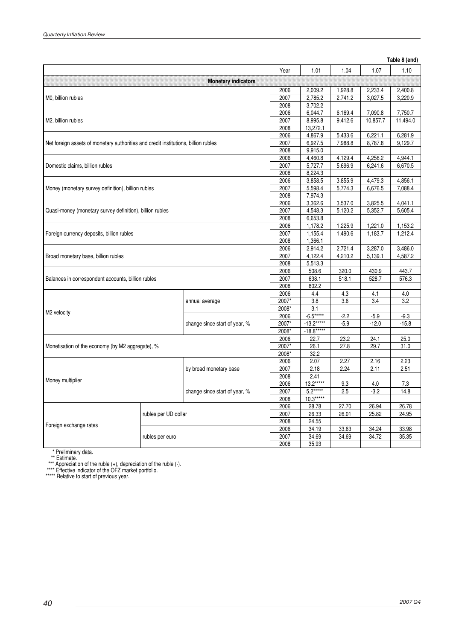$\hat{\boldsymbol{\beta}}$ 

#### **Table 8 (end)**

|                                                                                    |                                         |                               |       |                  |         |          | ັ້ນມີ    |
|------------------------------------------------------------------------------------|-----------------------------------------|-------------------------------|-------|------------------|---------|----------|----------|
|                                                                                    |                                         |                               | Year  | 1.01             | 1.04    | 1.07     | 1.10     |
|                                                                                    |                                         | <b>Monetary indicators</b>    |       |                  |         |          |          |
|                                                                                    |                                         |                               | 2006  | 2,009.2          | 1,928.8 | 2,233.4  | 2,400.8  |
| M0, billion rubles                                                                 |                                         |                               | 2007  | 2,785.2          | 2,741.2 | 3,027.5  | 3,220.9  |
|                                                                                    |                                         |                               | 2008  | 3,702.2          |         |          |          |
|                                                                                    |                                         |                               | 2006  | 6,044.7          | 6,169.4 | 7,090.8  | 7,750.7  |
| M2, billion rubles                                                                 |                                         |                               | 2007  | 8,995.8          | 9,412.6 | 10,857.7 | 11,494.0 |
|                                                                                    |                                         |                               | 2008  | 13,272.1         |         |          |          |
|                                                                                    |                                         |                               | 2006  | 4,867.9          | 5,433.6 | 6,221.1  | 6,281.9  |
| Net foreign assets of monetary authorities and credit institutions, billion rubles |                                         |                               | 2007  | 6,927.5          | 7,988.8 | 8,787.8  | 9,129.7  |
|                                                                                    |                                         |                               | 2008  | 9,915.0          |         |          |          |
|                                                                                    |                                         |                               | 2006  | 4,460.8          | 4,129.4 | 4,256.2  | 4,944.1  |
| Domestic claims, billion rubles                                                    |                                         |                               | 2007  | 5,727.7          | 5,696.9 | 6,241.6  | 6,670.5  |
|                                                                                    |                                         |                               | 2008  | 8,224.3          |         |          |          |
|                                                                                    |                                         |                               | 2006  | 3,858.5          | 3,855.9 | 4,479.3  | 4,856.1  |
| Money (monetary survey definition), billion rubles                                 |                                         |                               | 2007  | 5,598.4          | 5,774.3 | 6,676.5  | 7,088.4  |
|                                                                                    |                                         |                               | 2008  | 7,974.3          |         |          |          |
|                                                                                    |                                         |                               | 2006  | 3,362.6          | 3,537.0 | 3,825.5  | 4,041.1  |
| Quasi-money (monetary survey definition), billion rubles                           |                                         |                               | 2007  | 4,548.3          | 5,120.2 | 5,352.7  | 5,605.4  |
|                                                                                    |                                         |                               | 2008  | 6,653.8          |         |          |          |
|                                                                                    |                                         |                               | 2006  | 1,178.2          | 1,225.9 | 1,221.0  | 1,153.2  |
| Foreign currency deposits, billion rubles                                          |                                         |                               | 2007  | 1,155.4          | 1,490.6 | 1,183.7  | 1,212.4  |
|                                                                                    |                                         |                               | 2008  | 1,366.1          |         |          |          |
|                                                                                    |                                         |                               | 2006  | 2,914.2          | 2,721.4 | 3,287.0  | 3,486.0  |
| Broad monetary base, billion rubles                                                |                                         |                               | 2007  | 4,122.4          | 4,210.2 | 5,139.1  | 4.587.2  |
|                                                                                    |                                         |                               | 2008  | 5,513.3          |         |          |          |
|                                                                                    |                                         |                               | 2006  | 508.6            | 320.0   | 430.9    | 443.7    |
| Balances in correspondent accounts, billion rubles                                 |                                         |                               | 2007  | 638.1            | 518.1   | 528.7    | 576.3    |
|                                                                                    |                                         |                               | 2008  | 802.2            |         |          |          |
|                                                                                    |                                         |                               | 2006  | 4.4              | 4.3     | 4.1      | 4.0      |
|                                                                                    |                                         | annual average                | 2007* | $\overline{3.8}$ | 3.6     | 3.4      | 3.2      |
| M2 velocity                                                                        |                                         |                               | 2008* | 3.1              |         |          |          |
|                                                                                    |                                         |                               | 2006  | $-6.5***$        | $-2.2$  | $-5.9$   | $-9.3$   |
|                                                                                    |                                         | change since start of year, % | 2007* | $-13.2***$       | $-5.9$  | $-12.0$  | $-15.8$  |
|                                                                                    |                                         |                               | 2008* | $-18.8***$       |         |          |          |
|                                                                                    |                                         |                               | 2006  | 22.7             | 23.2    | 24.1     | 25.0     |
| Monetisation of the economy (by M2 aggregate), %                                   |                                         |                               | 2007* | 26.1             | 27.8    | 29.7     | 31.0     |
|                                                                                    |                                         |                               | 2008* | 32.2             |         |          |          |
|                                                                                    |                                         |                               | 2006  | 2.07             | 2.27    | 2.16     | 2.23     |
|                                                                                    | by broad monetary base                  | 2007                          | 2.18  | 2.24             | 2.11    | 2.51     |          |
| Money multiplier                                                                   |                                         |                               | 2008  | 2.41             |         |          |          |
|                                                                                    |                                         |                               | 2006  | $13.2***$        | 9.3     | 4.0      | 7.3      |
|                                                                                    |                                         | change since start of year, % | 2007  | $5.2***$         | 2.5     | $-3.2$   | 14.8     |
|                                                                                    |                                         |                               | 2008  | $10.3***$        |         |          |          |
|                                                                                    | rubles per UD dollar<br>rubles per euro |                               | 2006  | 28.78            | 27.70   | 26.94    | 26.78    |
|                                                                                    |                                         |                               | 2007  | 26.33            | 26.01   | 25.82    | 24.95    |
| Foreign exchange rates                                                             |                                         |                               | 2008  | 24.55            |         |          |          |
|                                                                                    |                                         |                               | 2006  | 34.19            | 33.63   | 34.24    | 33.98    |
|                                                                                    |                                         |                               | 2007  | 34.69            | 34.69   | 34.72    | 35.35    |
|                                                                                    |                                         |                               | 2008  | 35.93            |         |          |          |

\* Preliminary data.

\*\* Estimate. \*\*\* Appreciation of the ruble (+), depreciation of the ruble (-). \*\*\*\* Effective indicator of the OFZ market portfolio.

\*\*\*\*\* Relative to start of previous year.